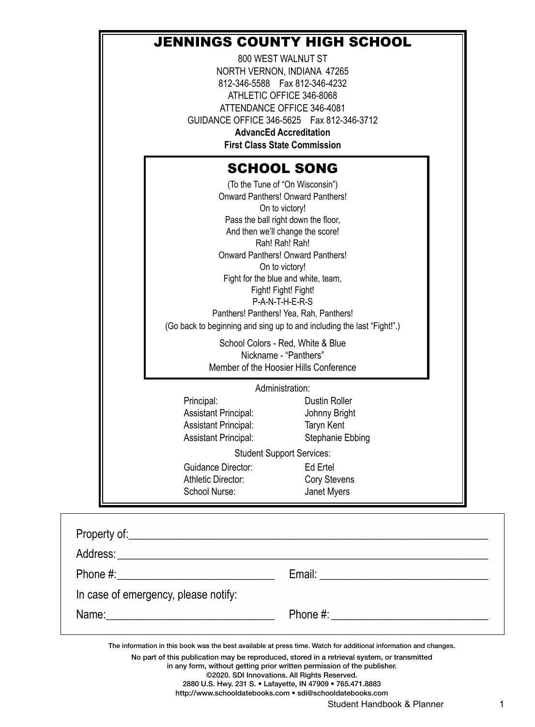# JENNINGS COUNTY HIGH SCHOOL

800 WEST WALNUT ST NORTH VERNON, INDIANA 47265 812-346-5588 Fax 812-346-4232 ATHLETIC OFFICE 346-8068 ATTENDANCE OFFICE 346-4081 GUIDANCE OFFICE 346-5625 Fax 812-346-3712 **AdvancEd Accreditation**

**First Class State Commission**

# SCHOOL SONG

(To the Tune of "On Wisconsin") Onward Panthers! Onward Panthers! On to victory! Pass the ball right down the floor, And then we'll change the score! Rah! Rah! Rah! Onward Panthers! Onward Panthers! On to victory! Fight for the blue and white, team, Fight! Fight! P-A-N-T-H-E-R-S

Panthers! Panthers! Yea, Rah, Panthers! (Go back to beginning and sing up to and including the last "Fight!".)

> School Colors - Red, White & Blue Nickname - "Panthers" Member of the Hoosier Hills Conference

> > Administration:

Principal: Dustin Roller Assistant Principal: Johnny Bright Assistant Principal: Taryn Kent Assistant Principal: Stephanie Ebbing Guidance Director: Ed Ertel

Student Support Services:

Athletic Director: Cory Stevens School Nurse: Janet Myers

| In case of emergency, please notify: |  |
|--------------------------------------|--|
|                                      |  |

The information in this book was the best available at press time. Watch for additional information and changes.

No part of this publication may be reproduced, stored in a retrieval system, or transmitted

in any form, without getting prior written permission of the publisher.

©2020. SDI Innovations. All Rights Reserved.

2880 U.S. Hwy. 231 S. • Lafayette, IN 47909 • 765.471.8883

http://www.schooldatebooks.com • sdi@schooldatebooks.com

Student Handbook & Planner 1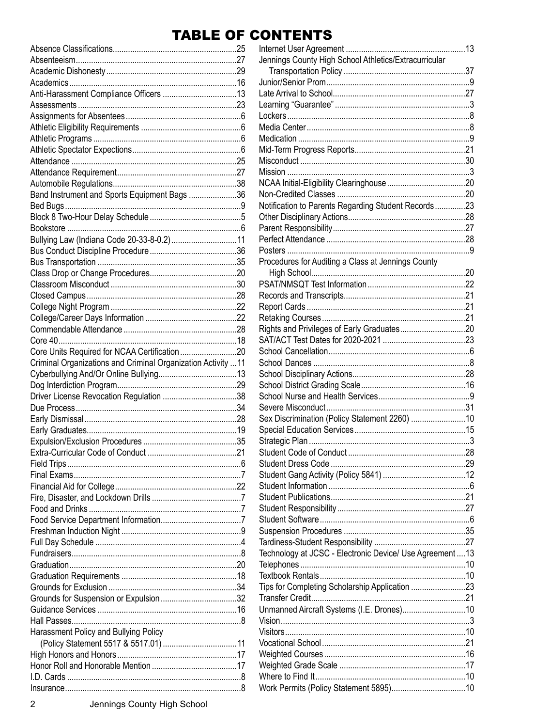# **TABLE OF CONTENTS**

| Band Instrument and Sports Equipment Bags 36                  |  |
|---------------------------------------------------------------|--|
|                                                               |  |
|                                                               |  |
|                                                               |  |
| Bullying Law (Indiana Code 20-33-8-0.2) 11                    |  |
|                                                               |  |
|                                                               |  |
|                                                               |  |
|                                                               |  |
|                                                               |  |
|                                                               |  |
|                                                               |  |
|                                                               |  |
|                                                               |  |
| Core Units Required for NCAA Certification20                  |  |
| Criminal Organizations and Criminal Organization Activity  11 |  |
|                                                               |  |
|                                                               |  |
|                                                               |  |
| Driver License Revocation Regulation 38                       |  |
|                                                               |  |
|                                                               |  |
|                                                               |  |
|                                                               |  |
|                                                               |  |
|                                                               |  |
|                                                               |  |
|                                                               |  |
|                                                               |  |
|                                                               |  |
|                                                               |  |
|                                                               |  |
|                                                               |  |
|                                                               |  |
|                                                               |  |
|                                                               |  |
|                                                               |  |
| Grounds for Suspension or Expulsion32                         |  |
|                                                               |  |
|                                                               |  |
| Harassment Policy and Bullying Policy                         |  |
|                                                               |  |
|                                                               |  |
|                                                               |  |

| Jennings County High School Athletics/Extracurricular     |  |
|-----------------------------------------------------------|--|
|                                                           |  |
|                                                           |  |
|                                                           |  |
|                                                           |  |
|                                                           |  |
|                                                           |  |
|                                                           |  |
|                                                           |  |
|                                                           |  |
|                                                           |  |
|                                                           |  |
|                                                           |  |
| Notification to Parents Regarding Student Records23       |  |
|                                                           |  |
|                                                           |  |
|                                                           |  |
|                                                           |  |
| Procedures for Auditing a Class at Jennings County        |  |
|                                                           |  |
|                                                           |  |
|                                                           |  |
|                                                           |  |
|                                                           |  |
|                                                           |  |
|                                                           |  |
|                                                           |  |
|                                                           |  |
|                                                           |  |
|                                                           |  |
|                                                           |  |
|                                                           |  |
| Sex Discrimination (Policy Statement 2260) 10             |  |
|                                                           |  |
|                                                           |  |
|                                                           |  |
|                                                           |  |
|                                                           |  |
|                                                           |  |
|                                                           |  |
|                                                           |  |
|                                                           |  |
|                                                           |  |
|                                                           |  |
| Technology at JCSC - Electronic Device/ Use Agreement  13 |  |
|                                                           |  |
|                                                           |  |
| Tips for Completing Scholarship Application 23            |  |
|                                                           |  |
| Unmanned Aircraft Systems (I.E. Drones)10                 |  |
|                                                           |  |
|                                                           |  |
|                                                           |  |
|                                                           |  |
|                                                           |  |
|                                                           |  |
|                                                           |  |
|                                                           |  |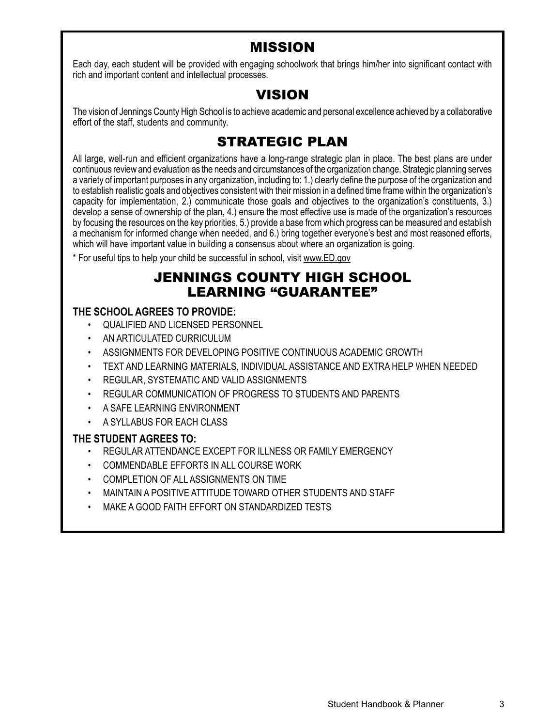# MISSION

Each day, each student will be provided with engaging schoolwork that brings him/her into significant contact with rich and important content and intellectual processes.

# VISION

The vision of Jennings County High School is to achieve academic and personal excellence achieved by a collaborative effort of the staff, students and community.

# STRATEGIC PLAN

All large, well-run and efficient organizations have a long-range strategic plan in place. The best plans are under continuous review and evaluation as the needs and circumstances of the organization change. Strategic planning serves a variety of important purposes in any organization, including to: 1.) clearly define the purpose of the organization and to establish realistic goals and objectives consistent with their mission in a defined time frame within the organization's capacity for implementation, 2.) communicate those goals and objectives to the organization's constituents, 3.) develop a sense of ownership of the plan, 4.) ensure the most effective use is made of the organization's resources by focusing the resources on the key priorities, 5.) provide a base from which progress can be measured and establish a mechanism for informed change when needed, and 6.) bring together everyone's best and most reasoned efforts, which will have important value in building a consensus about where an organization is going.

\* For useful tips to help your child be successful in school, visit www.ED.gov

# JENNINGS COUNTY HIGH SCHOOL LEARNING "GUARANTEE"

# **THE SCHOOL AGREES TO PROVIDE:**

- QUALIFIED AND LICENSED PERSONNEL
- AN ARTICULATED CURRICULUM
- ASSIGNMENTS FOR DEVELOPING POSITIVE CONTINUOUS ACADEMIC GROWTH
- TEXT AND LEARNING MATERIALS, INDIVIDUAL ASSISTANCE AND EXTRA HELP WHEN NEEDED
- REGULAR, SYSTEMATIC AND VALID ASSIGNMENTS
- REGULAR COMMUNICATION OF PROGRESS TO STUDENTS AND PARENTS
- A SAFE LEARNING ENVIRONMENT
- A SYLLABUS FOR EACH CLASS

#### **THE STUDENT AGREES TO:**

- REGULAR ATTENDANCE EXCEPT FOR ILLNESS OR FAMILY EMERGENCY
- COMMENDABLE EFFORTS IN ALL COURSE WORK
- COMPLETION OF ALL ASSIGNMENTS ON TIME
- MAINTAIN A POSITIVE ATTITUDE TOWARD OTHER STUDENTS AND STAFF
- MAKE A GOOD FAITH EFFORT ON STANDARDIZED TESTS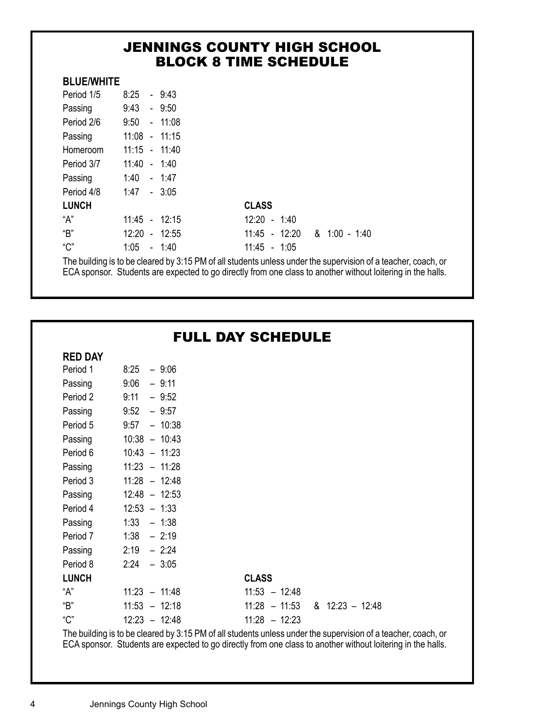# JENNINGS COUNTY HIGH SCHOOL BLOCK 8 TIME SCHEDULE

## **BLUE/WHITE**

| Period 1/5   | 8:25            | $-9:43$         |                 |                 |
|--------------|-----------------|-----------------|-----------------|-----------------|
| Passing      | $9:43 - 9:50$   |                 |                 |                 |
| Period 2/6   | $9:50 - 11:08$  |                 |                 |                 |
| Passing      | $11:08 - 11:15$ |                 |                 |                 |
| Homeroom     | $11:15 - 11:40$ |                 |                 |                 |
| Period 3/7   | $11:40 - 1:40$  |                 |                 |                 |
| Passing      | $1:40 - 1:47$   |                 |                 |                 |
| Period 4/8   | $1:47 - 3:05$   |                 |                 |                 |
| <b>LUNCH</b> |                 |                 | <b>CLASS</b>    |                 |
| "А"          |                 | $11:45 - 12:15$ | $12:20 - 1:40$  |                 |
| "B"          |                 | $12:20 - 12:55$ | $11:45 - 12:20$ | $8.1:00 - 1:40$ |
| "C"          | 1:05            | $-1:40$         | $11:45 - 1:05$  |                 |
|              |                 |                 |                 |                 |

The building is to be cleared by 3:15 PM of all students unless under the supervision of a teacher, coach, or ECA sponsor. Students are expected to go directly from one class to another without loitering in the halls.

| <b>FULL DAY SCHEDULE</b> |
|--------------------------|
|--------------------------|

#### **RED DAY**

| ותש שאו      |                 |                                            |
|--------------|-----------------|--------------------------------------------|
| Period 1     | $8:25 - 9:06$   |                                            |
| Passing      | 9:06<br>- 9:11  |                                            |
| Period 2     | 9:11<br>$-9:52$ |                                            |
| Passing      | $9:52 - 9:57$   |                                            |
| Period 5     | $9:57 - 10:38$  |                                            |
| Passing      | $10:38 - 10:43$ |                                            |
| Period 6     | $10:43 - 11:23$ |                                            |
| Passing      | $11:23 - 11:28$ |                                            |
| Period 3     | $11:28 - 12:48$ |                                            |
| Passing      | $12:48 - 12:53$ |                                            |
| Period 4     | $12:53 - 1:33$  |                                            |
| Passing      | $1:33 - 1:38$   |                                            |
| Period 7     | $1:38 - 2:19$   |                                            |
| Passing      | $2:19 - 2:24$   |                                            |
| Period 8     | $2:24 - 3:05$   |                                            |
| <b>LUNCH</b> |                 | <b>CLASS</b>                               |
| "А"          | $11:23 - 11:48$ | $11:53 - 12:48$                            |
| "B"          | $11:53 - 12:18$ | $8 \quad 12:23 - 12:48$<br>$11:28 - 11:53$ |
| "C"          | $12:23 - 12:48$ | $11:28 - 12:23$                            |

The building is to be cleared by 3:15 PM of all students unless under the supervision of a teacher, coach, or ECA sponsor. Students are expected to go directly from one class to another without loitering in the halls.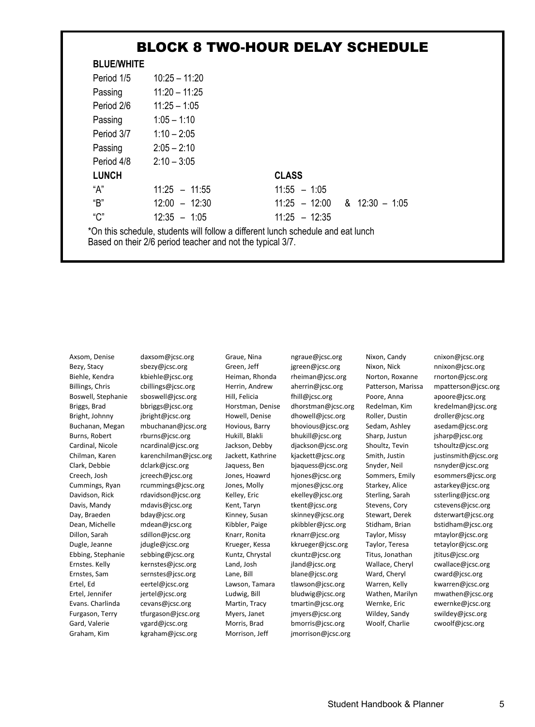# BLOCK 8 TWO-HOUR DELAY SCHEDULE

| <b>BLUE/WHITE</b> |                 |                                           |
|-------------------|-----------------|-------------------------------------------|
| Period 1/5        | $10:25 - 11:20$ |                                           |
| Passing           | $11:20 - 11:25$ |                                           |
| Period 2/6        | $11:25 - 1:05$  |                                           |
| Passing           | $1:05 - 1:10$   |                                           |
| Period 3/7        | $1:10 - 2:05$   |                                           |
| Passing           | $2:05 - 2:10$   |                                           |
| Period 4/8        | $2:10 - 3:05$   |                                           |
| <b>LUNCH</b>      |                 | <b>CLASS</b>                              |
| "А"               | $11:25 - 11:55$ | $11:55 - 1:05$                            |
| "B"               | $12:00 - 12:30$ | $11:25 - 12:00$<br>$8 \quad 12:30 - 1:05$ |
| "C"               | $12:35 - 1:05$  | $11:25 - 12:35$                           |

\*On this schedule, students will follow a different lunch schedule and eat lunch Based on their 2/6 period teacher and not the typical 3/7.

Axsom, Denise daxsom@jcsc.org Graue, Nina ngraue@jcsc.org Nixon, Candy cnixon@jcsc.org Bezy, Stacy sbezy@jcsc.org Green, Jeff jgreen@jcsc.org Nixon, Nick nnixon@jcsc.org Biehle, Kendra kbiehle@jcsc.org Heiman, Rhonda rheiman@jcsc.org Norton, Roxanne rnorton@jcsc.org Billings, Chris cbillings@jcsc.org Herrin, Andrew aherrin@jcsc.org Patterson, Marissa mpatterson@jcsc.org Boswell, Stephanie sboswell@jcsc.org Hill, Felicia fhill@jcsc.org Poore, Anna apoore@jcsc.org Briggs, Brad bbriggs@jcsc.org Horstman, Denise dhorstman@jcsc.org Redelman, Kim kredelman@jcsc.org Bright, Johnny jbright@jcsc.org Howell, Denise dhowell@jcsc.org Roller, Dustin droller@jcsc.org Buchanan, Megan mbuchanan@jcsc.org Hovious, Barry bhovious@jcsc.org Sedam, Ashley asedam@jcsc.org Burns, Robert rburns@jcsc.org Hukill, Blakli bhukill@jcsc.org Sharp, Justun jsharp@jcsc.org Cardinal, Nicole ncardinal@jcsc.org Jackson, Debby djackson@jcsc.org Shoultz, Tevin tshoultz@jcsc.org Chilman, Karen karenchilman@jcsc.org Jackett, Kathrine kjackett@jcsc.org Smith, Justin justinsmith@jcsc.org Clark, Debbie dclark@jcsc.org Jaquess, Ben bjaquess@jcsc.org Snyder, Neil nsnyder@jcsc.org Creech, Josh jcreech@jcsc.org Jones, Hoawrd hjones@jcsc.org Sommers, Emily esommers@jcsc.org<br>Cummings, Ryan rcummings@jcsc.org Jones, Molly mjones@jcsc.org Starkey, Alice astarkey@jcsc.org rcummings@jcsc.org Jones, Molly mjones@jcsc.org Starkey, Alice astarkey@jcsc.org Davidson, Rick rdavidson@jcsc.org Kelley, Eric ekelley@jcsc.org Sterling, Sarah ssterling@jcsc.org Davis, Mandy mdavis@jcsc.org Kent, Taryn tkent@jcsc.org Stevens, Cory cstevens@jcsc.org Day, Braeden bday@jcsc.org Kinney, Susan skinney@jcsc.org Stewart, Derek dsterwart@jcsc.org Dean, Michelle mdean@jcsc.org Kibbler, Paige pkibbler@jcsc.org Stidham, Brian bstidham@jcsc.org Dillon, Sarah sdillon@jcsc.org Knarr, Ronita rknarr@jcsc.org Taylor, Missy mtaylor@jcsc.org Dugle, Jeanne jdugle@jcsc.org Krueger, Kessa kkrueger@jcsc.org Taylor, Teresa tetaylor@jcsc.org Ebbing, Stephanie sebbing@jcsc.org Kuntz, Chrystal ckuntz@jcsc.org Titus, Jonathan jtitus@jcsc.org Ernstes. Kelly kernstes@jcsc.org Land, Josh jland@jcsc.org Wallace, Cheryl cwallace@jcsc.org Ernstes, Sam sernstes@jcsc.org Lane, Bill blane@jcsc.org Ward, Cheryl cward@jcsc.org Ertel, Ed eertel@jcsc.org Lawson, Tamara tlawson@jcsc.org Warren, Kelly kwarren@jcsc.org Ertel, Jennifer jertel@jcsc.org Ludwig, Bill bludwig@jcsc.org Wathen, Marilyn mwathen@jcsc.org Evans. Charlinda cevans@jcsc.org Martin, Tracy tmartin@jcsc.org Wernke, Eric ewernke@jcsc.org Furgason, Terry tfurgason@jcsc.org Myers, Janet jmyers@jcsc.org Wildey, Sandy swildey@jcsc.org Gard, Valerie vgard@jcsc.org Morris, Brad bmorris@jcsc.org Woolf, Charlie cwoolf@jcsc.org Graham, Kim kgraham@jcsc.org Morrison, Jeff jmorrison@jcsc.org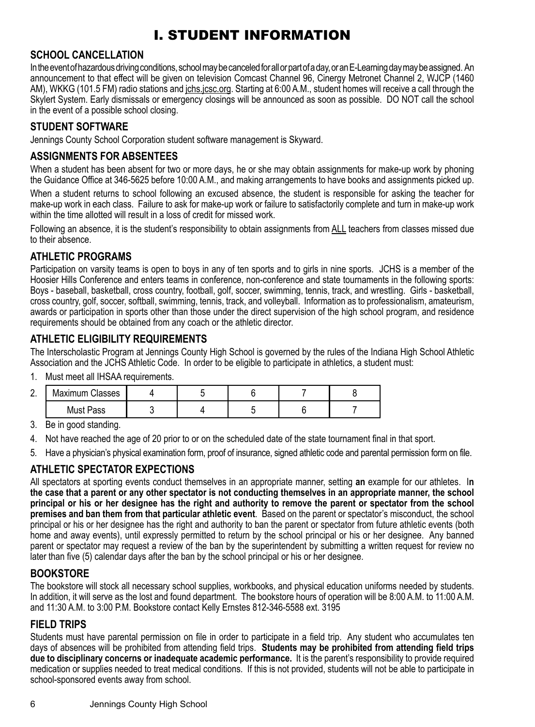# I. STUDENT INFORMATION

#### **SCHOOL CANCELLATION**

In the event of hazardous driving conditions, school may be canceled for all or part of a day, or an E-Learning day may be assigned. An announcement to that effect will be given on television Comcast Channel 96, Cinergy Metronet Channel 2, WJCP (1460 AM), WKKG (101.5 FM) radio stations and jchs.jcsc.org. Starting at 6:00 A.M., student homes will receive a call through the Skylert System. Early dismissals or emergency closings will be announced as soon as possible. DO NOT call the school in the event of a possible school closing.

# **STUDENT SOFTWARE**

Jennings County School Corporation student software management is Skyward.

# **ASSIGNMENTS FOR ABSENTEES**

When a student has been absent for two or more days, he or she may obtain assignments for make-up work by phoning the Guidance Office at 346-5625 before 10:00 A.M., and making arrangements to have books and assignments picked up.

When a student returns to school following an excused absence, the student is responsible for asking the teacher for make-up work in each class. Failure to ask for make-up work or failure to satisfactorily complete and turn in make-up work within the time allotted will result in a loss of credit for missed work.

Following an absence, it is the student's responsibility to obtain assignments from ALL teachers from classes missed due to their absence.

## **ATHLETIC PROGRAMS**

Participation on varsity teams is open to boys in any of ten sports and to girls in nine sports. JCHS is a member of the Hoosier Hills Conference and enters teams in conference, non-conference and state tournaments in the following sports: Boys - baseball, basketball, cross country, football, golf, soccer, swimming, tennis, track, and wrestling. Girls - basketball, cross country, golf, soccer, softball, swimming, tennis, track, and volleyball. Information as to professionalism, amateurism, awards or participation in sports other than those under the direct supervision of the high school program, and residence requirements should be obtained from any coach or the athletic director.

## **ATHLETIC ELIGIBILITY REQUIREMENTS**

The Interscholastic Program at Jennings County High School is governed by the rules of the Indiana High School Athletic Association and the JCHS Athletic Code. In order to be eligible to participate in athletics, a student must:

1. Must meet all IHSAA requirements.

| $\sim$ | Maximum Classes |  |  |  |
|--------|-----------------|--|--|--|
|        | Must Pass       |  |  |  |

3. Be in good standing.

- 4. Not have reached the age of 20 prior to or on the scheduled date of the state tournament final in that sport.
- 5. Have a physician's physical examination form, proof of insurance, signed athletic code and parental permission form on file.

# **ATHLETIC SPECTATOR EXPECTIONS**

All spectators at sporting events conduct themselves in an appropriate manner, setting **an** example for our athletes. I**n the case that a parent or any other spectator is not conducting themselves in an appropriate manner, the school principal or his or her designee has the right and authority to remove the parent or spectator from the school premises and ban them from that particular athletic event**. Based on the parent or spectator's misconduct, the school principal or his or her designee has the right and authority to ban the parent or spectator from future athletic events (both home and away events), until expressly permitted to return by the school principal or his or her designee. Any banned parent or spectator may request a review of the ban by the superintendent by submitting a written request for review no later than five (5) calendar days after the ban by the school principal or his or her designee.

#### **BOOKSTORE**

The bookstore will stock all necessary school supplies, workbooks, and physical education uniforms needed by students. In addition, it will serve as the lost and found department. The bookstore hours of operation will be 8:00 A.M. to 11:00 A.M. and 11:30 A.M. to 3:00 P.M. Bookstore contact Kelly Ernstes 812-346-5588 ext. 3195

#### **FIELD TRIPS**

Students must have parental permission on file in order to participate in a field trip. Any student who accumulates ten days of absences will be prohibited from attending field trips. **Students may be prohibited from attending field trips due to disciplinary concerns or inadequate academic performance.** It is the parent's responsibility to provide required medication or supplies needed to treat medical conditions. If this is not provided, students will not be able to participate in school-sponsored events away from school.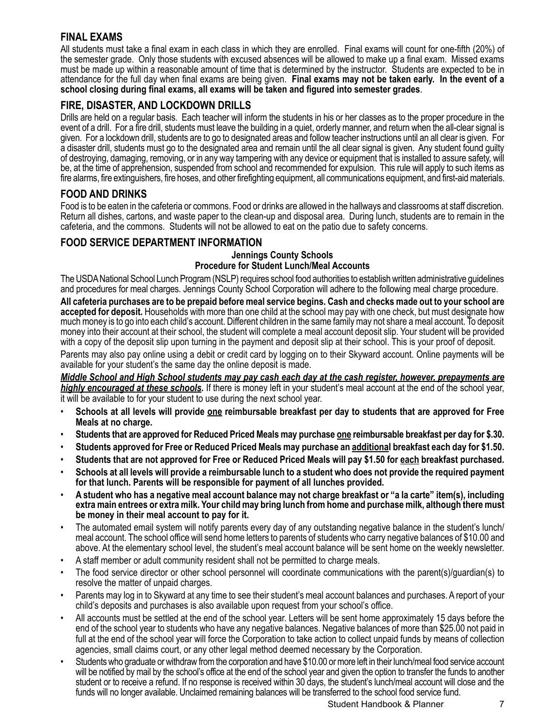#### **FINAL EXAMS**

All students must take a final exam in each class in which they are enrolled. Final exams will count for one-fifth (20%) of the semester grade. Only those students with excused absences will be allowed to make up a final exam. Missed exams must be made up within a reasonable amount of time that is determined by the instructor. Students are expected to be in attendance for the full day when final exams are being given. **Final exams may not be taken early. In the event of a school closing during final exams, all exams will be taken and figured into semester grades**.

# **FIRE, DISASTER, AND LOCKDOWN DRILLS**

Drills are held on a regular basis. Each teacher will inform the students in his or her classes as to the proper procedure in the event of a drill. For a fire drill, students must leave the building in a quiet, orderly manner, and return when the all-clear signal is given. For a lockdown drill, students are to go to designated areas and follow teacher instructions until an all clear is given. For a disaster drill, students must go to the designated area and remain until the all clear signal is given. Any student found guilty of destroying, damaging, removing, or in any way tampering with any device or equipment that is installed to assure safety, will be, at the time of apprehension, suspended from school and recommended for expulsion. This rule will apply to such items as fire alarms, fire extinguishers, fire hoses, and other firefighting equipment, all communications equipment, and first-aid materials.

## **FOOD AND DRINKS**

Food is to be eaten in the cafeteria or commons. Food or drinks are allowed in the hallways and classrooms at staff discretion. Return all dishes, cartons, and waste paper to the clean-up and disposal area. During lunch, students are to remain in the cafeteria, and the commons. Students will not be allowed to eat on the patio due to safety concerns.

# **FOOD SERVICE DEPARTMENT INFORMATION**

#### **Jennings County Schools Procedure for Student Lunch/Meal Accounts**

The USDA National School Lunch Program (NSLP) requires school food authorities to establish written administrative guidelines and procedures for meal charges. Jennings County School Corporation will adhere to the following meal charge procedure.

**All cafeteria purchases are to be prepaid before meal service begins. Cash and checks made out to your school are accepted for deposit.** Households with more than one child at the school may pay with one check, but must designate how much money is to go into each child's account. Different children in the same family may not share a meal account. To deposit money into their account at their school, the student will complete a meal account deposit slip. Your student will be provided with a copy of the deposit slip upon turning in the payment and deposit slip at their school. This is your proof of deposit.

Parents may also pay online using a debit or credit card by logging on to their Skyward account. Online payments will be available for your student's the same day the online deposit is made.

*Middle School and High School students may pay cash each day at the cash register, however, prepayments are highly encouraged at these schools.* If there is money left in your student's meal account at the end of the school year, it will be available to for your student to use during the next school year.

- **Schools at all levels will provide one reimbursable breakfast per day to students that are approved for Free Meals at no charge.**
- **Students that are approved for Reduced Priced Meals may purchase one reimbursable breakfast per day for \$.30.**
- **Students approved for Free or Reduced Priced Meals may purchase an additional breakfast each day for \$1.50.**
- **Students that are not approved for Free or Reduced Priced Meals will pay \$1.50 for each breakfast purchased.**
- **Schools at all levels will provide a reimbursable lunch to a student who does not provide the required payment for that lunch. Parents will be responsible for payment of all lunches provided.**
- **A student who has a negative meal account balance may not charge breakfast or "a la carte" item(s), including extra main entrees or extra milk. Your child may bring lunch from home and purchase milk, although there must be money in their meal account to pay for it.**
- The automated email system will notify parents every day of any outstanding negative balance in the student's lunch/ meal account. The school office will send home letters to parents of students who carry negative balances of \$10.00 and above. At the elementary school level, the student's meal account balance will be sent home on the weekly newsletter.
- A staff member or adult community resident shall not be permitted to charge meals.
- The food service director or other school personnel will coordinate communications with the parent(s)/guardian(s) to resolve the matter of unpaid charges.
- Parents may log in to Skyward at any time to see their student's meal account balances and purchases. A report of your child's deposits and purchases is also available upon request from your school's office.
- All accounts must be settled at the end of the school year. Letters will be sent home approximately 15 days before the end of the school year to students who have any negative balances. Negative balances of more than \$25.00 not paid in full at the end of the school year will force the Corporation to take action to collect unpaid funds by means of collection agencies, small claims court, or any other legal method deemed necessary by the Corporation.
- Students who graduate or withdraw from the corporation and have \$10.00 or more left in their lunch/meal food service account will be notified by mail by the school's office at the end of the school year and given the option to transfer the funds to another student or to receive a refund. If no response is received within 30 days, the student's lunch/meal account will close and the funds will no longer available. Unclaimed remaining balances will be transferred to the school food service fund.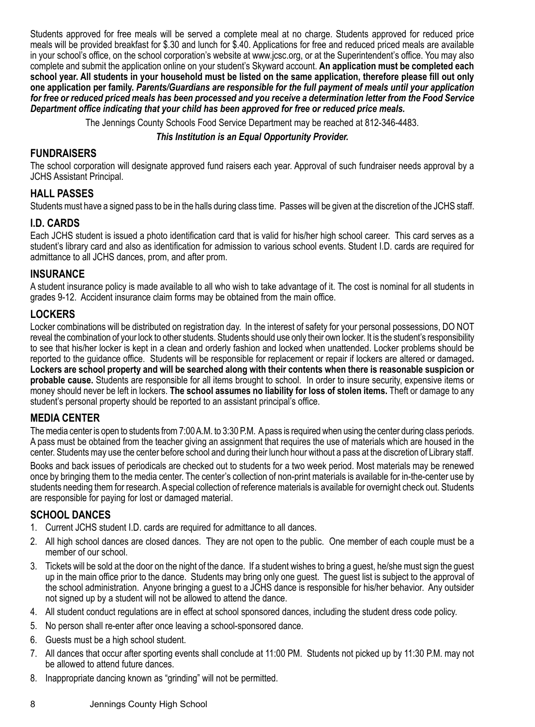Students approved for free meals will be served a complete meal at no charge. Students approved for reduced price meals will be provided breakfast for \$.30 and lunch for \$.40. Applications for free and reduced priced meals are available in your school's office, on the school corporation's website at www.jcsc.org, or at the Superintendent's office. You may also complete and submit the application online on your student's Skyward account. **An application must be completed each school year. All students in your household must be listed on the same application, therefore please fill out only one application per family.** *Parents/Guardians are responsible for the full payment of meals until your application for free or reduced priced meals has been processed and you receive a determination letter from the Food Service Department office indicating that your child has been approved for free or reduced price meals.* 

The Jennings County Schools Food Service Department may be reached at 812-346-4483.

#### *This Institution is an Equal Opportunity Provider.*

#### **FUNDRAISERS**

The school corporation will designate approved fund raisers each year. Approval of such fundraiser needs approval by a JCHS Assistant Principal.

#### **HALL PASSES**

Students must have a signed pass to be in the halls during class time. Passes will be given at the discretion of the JCHS staff.

#### **I.D. CARDS**

Each JCHS student is issued a photo identification card that is valid for his/her high school career. This card serves as a student's library card and also as identification for admission to various school events. Student I.D. cards are required for admittance to all JCHS dances, prom, and after prom.

#### **INSURANCE**

A student insurance policy is made available to all who wish to take advantage of it. The cost is nominal for all students in grades 9-12. Accident insurance claim forms may be obtained from the main office.

#### **LOCKERS**

Locker combinations will be distributed on registration day. In the interest of safety for your personal possessions, DO NOT reveal the combination of your lock to other students. Students should use only their own locker. It is the student's responsibility to see that his/her locker is kept in a clean and orderly fashion and locked when unattended. Locker problems should be reported to the guidance office. Students will be responsible for replacement or repair if lockers are altered or damaged**. Lockers are school property and will be searched along with their contents when there is reasonable suspicion or probable cause.** Students are responsible for all items brought to school. In order to insure security, expensive items or money should never be left in lockers. **The school assumes no liability for loss of stolen items.** Theft or damage to any student's personal property should be reported to an assistant principal's office.

#### **MEDIA CENTER**

The media center is open to students from 7:00 A.M. to 3:30 P.M. A pass is required when using the center during class periods. A pass must be obtained from the teacher giving an assignment that requires the use of materials which are housed in the center. Students may use the center before school and during their lunch hour without a pass at the discretion of Library staff.

Books and back issues of periodicals are checked out to students for a two week period. Most materials may be renewed once by bringing them to the media center. The center's collection of non-print materials is available for in-the-center use by students needing them for research. A special collection of reference materials is available for overnight check out. Students are responsible for paying for lost or damaged material.

#### **SCHOOL DANCES**

- 1. Current JCHS student I.D. cards are required for admittance to all dances.
- 2. All high school dances are closed dances. They are not open to the public. One member of each couple must be a member of our school.
- 3. Tickets will be sold at the door on the night of the dance. If a student wishes to bring a guest, he/she must sign the guest up in the main office prior to the dance. Students may bring only one guest. The guest list is subject to the approval of the school administration. Anyone bringing a guest to a JCHS dance is responsible for his/her behavior. Any outsider not signed up by a student will not be allowed to attend the dance.
- 4. All student conduct regulations are in effect at school sponsored dances, including the student dress code policy.
- 5. No person shall re-enter after once leaving a school-sponsored dance.
- 6. Guests must be a high school student.
- 7. All dances that occur after sporting events shall conclude at 11:00 PM. Students not picked up by 11:30 P.M. may not be allowed to attend future dances.
- 8. Inappropriate dancing known as "grinding" will not be permitted.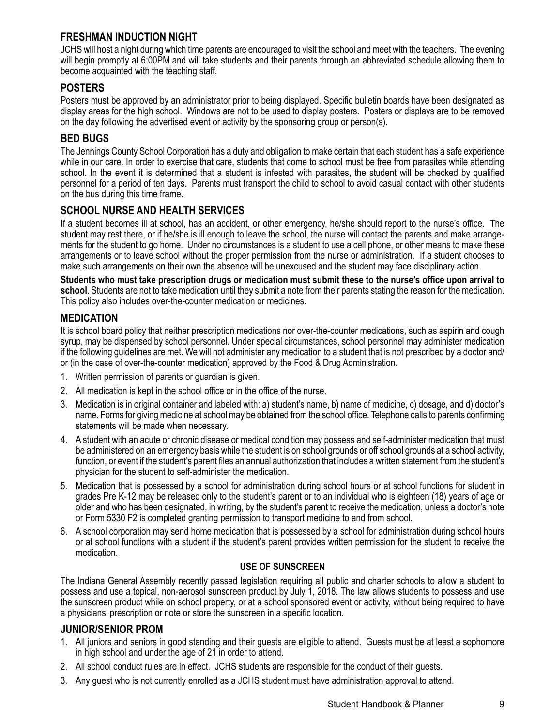#### **FRESHMAN INDUCTION NIGHT**

JCHS will host a night during which time parents are encouraged to visit the school and meet with the teachers. The evening will begin promptly at 6:00PM and will take students and their parents through an abbreviated schedule allowing them to become acquainted with the teaching staff.

#### **POSTERS**

Posters must be approved by an administrator prior to being displayed. Specific bulletin boards have been designated as display areas for the high school. Windows are not to be used to display posters. Posters or displays are to be removed on the day following the advertised event or activity by the sponsoring group or person(s).

#### **BED BUGS**

The Jennings County School Corporation has a duty and obligation to make certain that each student has a safe experience while in our care. In order to exercise that care, students that come to school must be free from parasites while attending school. In the event it is determined that a student is infested with parasites, the student will be checked by qualified personnel for a period of ten days. Parents must transport the child to school to avoid casual contact with other students on the bus during this time frame.

## **SCHOOL NURSE AND HEALTH SERVICES**

If a student becomes ill at school, has an accident, or other emergency, he/she should report to the nurse's office. The student may rest there, or if he/she is ill enough to leave the school, the nurse will contact the parents and make arrangements for the student to go home. Under no circumstances is a student to use a cell phone, or other means to make these arrangements or to leave school without the proper permission from the nurse or administration. If a student chooses to make such arrangements on their own the absence will be unexcused and the student may face disciplinary action.

**Students who must take prescription drugs or medication must submit these to the nurse's office upon arrival to school**. Students are not to take medication until they submit a note from their parents stating the reason for the medication. This policy also includes over-the-counter medication or medicines.

#### **MEDICATION**

It is school board policy that neither prescription medications nor over-the-counter medications, such as aspirin and cough syrup, may be dispensed by school personnel. Under special circumstances, school personnel may administer medication if the following guidelines are met. We will not administer any medication to a student that is not prescribed by a doctor and/ or (in the case of over-the-counter medication) approved by the Food & Drug Administration.

- 1. Written permission of parents or guardian is given.
- 2. All medication is kept in the school office or in the office of the nurse.
- 3. Medication is in original container and labeled with: a) student's name, b) name of medicine, c) dosage, and d) doctor's name. Forms for giving medicine at school may be obtained from the school office. Telephone calls to parents confirming statements will be made when necessary.
- 4. A student with an acute or chronic disease or medical condition may possess and self-administer medication that must be administered on an emergency basis while the student is on school grounds or off school grounds at a school activity, function, or event if the student's parent files an annual authorization that includes a written statement from the student's physician for the student to self-administer the medication.
- 5. Medication that is possessed by a school for administration during school hours or at school functions for student in grades Pre K-12 may be released only to the student's parent or to an individual who is eighteen (18) years of age or older and who has been designated, in writing, by the student's parent to receive the medication, unless a doctor's note or Form 5330 F2 is completed granting permission to transport medicine to and from school.
- 6. A school corporation may send home medication that is possessed by a school for administration during school hours or at school functions with a student if the student's parent provides written permission for the student to receive the medication.

#### **USE OF SUNSCREEN**

The Indiana General Assembly recently passed legislation requiring all public and charter schools to allow a student to possess and use a topical, non-aerosol sunscreen product by July 1, 2018. The law allows students to possess and use the sunscreen product while on school property, or at a school sponsored event or activity, without being required to have a physicians' prescription or note or store the sunscreen in a specific location.

#### **JUNIOR/SENIOR PROM**

- 1. All juniors and seniors in good standing and their guests are eligible to attend. Guests must be at least a sophomore in high school and under the age of 21 in order to attend.
- 2. All school conduct rules are in effect. JCHS students are responsible for the conduct of their guests.
- 3. Any guest who is not currently enrolled as a JCHS student must have administration approval to attend.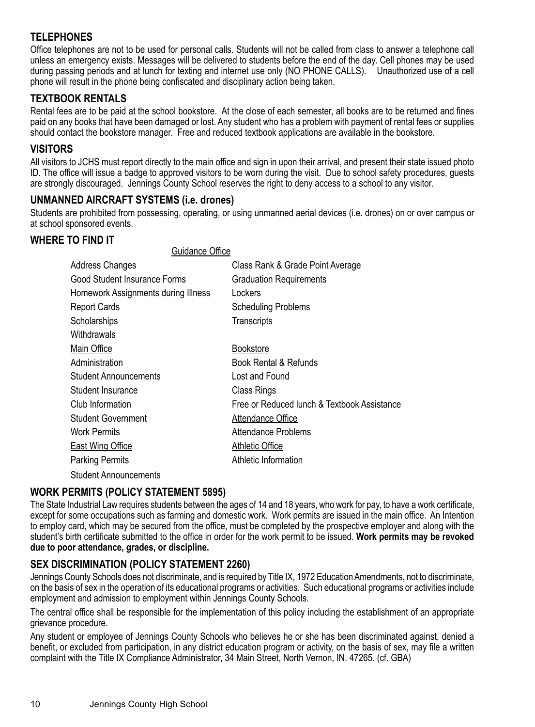# **TELEPHONES**

Office telephones are not to be used for personal calls. Students will not be called from class to answer a telephone call unless an emergency exists. Messages will be delivered to students before the end of the day. Cell phones may be used during passing periods and at lunch for texting and internet use only (NO PHONE CALLS). Unauthorized use of a cell phone will result in the phone being confiscated and disciplinary action being taken.

## **TEXTBOOK RENTALS**

Rental fees are to be paid at the school bookstore. At the close of each semester, all books are to be returned and fines paid on any books that have been damaged or lost. Any student who has a problem with payment of rental fees or supplies should contact the bookstore manager. Free and reduced textbook applications are available in the bookstore.

#### **VISITORS**

All visitors to JCHS must report directly to the main office and sign in upon their arrival, and present their state issued photo ID. The office will issue a badge to approved visitors to be worn during the visit. Due to school safety procedures, guests are strongly discouraged. Jennings County School reserves the right to deny access to a school to any visitor.

#### **UNMANNED AIRCRAFT SYSTEMS (i.e. drones)**

Students are prohibited from possessing, operating, or using unmanned aerial devices (i.e. drones) on or over campus or at school sponsored events.

#### **WHERE TO FIND IT**

Guidance Office

| Address Changes                     | Class Rank & Grade Point Average            |
|-------------------------------------|---------------------------------------------|
|                                     |                                             |
| Good Student Insurance Forms        | <b>Graduation Requirements</b>              |
| Homework Assignments during Illness | Lockers                                     |
| <b>Report Cards</b>                 | <b>Scheduling Problems</b>                  |
| Scholarships                        | Transcripts                                 |
| Withdrawals                         |                                             |
| Main Office                         | <b>Bookstore</b>                            |
| Administration                      | Book Rental & Refunds                       |
| <b>Student Announcements</b>        | Lost and Found                              |
| Student Insurance                   | Class Rings                                 |
| Club Information                    | Free or Reduced lunch & Textbook Assistance |
| <b>Student Government</b>           | Attendance Office                           |
| <b>Work Permits</b>                 | Attendance Problems                         |
| East Wing Office                    | <b>Athletic Office</b>                      |
| <b>Parking Permits</b>              | Athletic Information                        |
| <b>Student Announcements</b>        |                                             |

#### **WORK PERMITS (POLICY STATEMENT 5895)**

The State Industrial Law requires students between the ages of 14 and 18 years, who work for pay, to have a work certificate, except for some occupations such as farming and domestic work. Work permits are issued in the main office. An Intention to employ card, which may be secured from the office, must be completed by the prospective employer and along with the student's birth certificate submitted to the office in order for the work permit to be issued. **Work permits may be revoked due to poor attendance, grades, or discipline.**

# **SEX DISCRIMINATION (POLICY STATEMENT 2260)**

Jennings County Schools does not discriminate, and is required by Title IX, 1972 Education Amendments, not to discriminate, on the basis of sex in the operation of its educational programs or activities. Such educational programs or activities include employment and admission to employment within Jennings County Schools.

The central office shall be responsible for the implementation of this policy including the establishment of an appropriate grievance procedure.

Any student or employee of Jennings County Schools who believes he or she has been discriminated against, denied a benefit, or excluded from participation, in any district education program or activity, on the basis of sex, may file a written complaint with the Title IX Compliance Administrator, 34 Main Street, North Vernon, IN. 47265. (cf. GBA)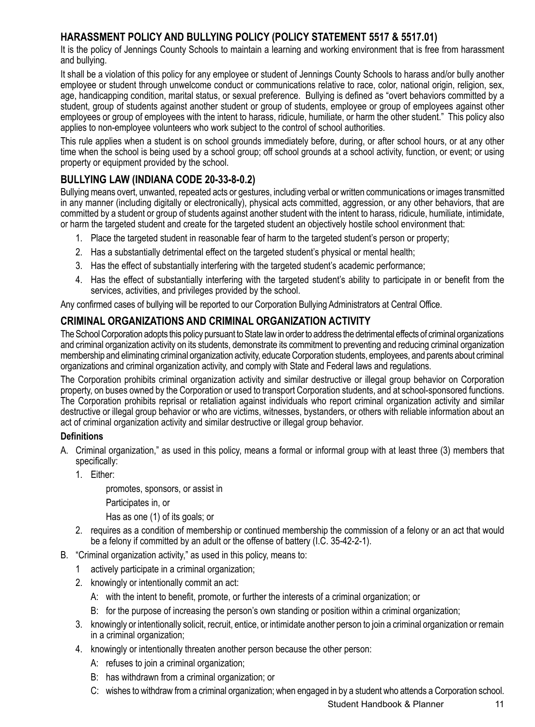# **HARASSMENT POLICY AND BULLYING POLICY (POLICY STATEMENT 5517 & 5517.01)**

It is the policy of Jennings County Schools to maintain a learning and working environment that is free from harassment and bullying.

It shall be a violation of this policy for any employee or student of Jennings County Schools to harass and/or bully another employee or student through unwelcome conduct or communications relative to race, color, national origin, religion, sex, age, handicapping condition, marital status, or sexual preference. Bullying is defined as "overt behaviors committed by a student, group of students against another student or group of students, employee or group of employees against other employees or group of employees with the intent to harass, ridicule, humiliate, or harm the other student." This policy also applies to non-employee volunteers who work subject to the control of school authorities.

This rule applies when a student is on school grounds immediately before, during, or after school hours, or at any other time when the school is being used by a school group; off school grounds at a school activity, function, or event; or using property or equipment provided by the school.

# **BULLYING LAW (INDIANA CODE 20-33-8-0.2)**

Bullying means overt, unwanted, repeated acts or gestures, including verbal or written communications or images transmitted in any manner (including digitally or electronically), physical acts committed, aggression, or any other behaviors, that are committed by a student or group of students against another student with the intent to harass, ridicule, humiliate, intimidate, or harm the targeted student and create for the targeted student an objectively hostile school environment that:

- 1. Place the targeted student in reasonable fear of harm to the targeted student's person or property;
- 2. Has a substantially detrimental effect on the targeted student's physical or mental health;
- 3. Has the effect of substantially interfering with the targeted student's academic performance;
- 4. Has the effect of substantially interfering with the targeted student's ability to participate in or benefit from the services, activities, and privileges provided by the school.

Any confirmed cases of bullying will be reported to our Corporation Bullying Administrators at Central Office.

# **CRIMINAL ORGANIZATIONS AND CRIMINAL ORGANIZATION ACTIVITY**

The School Corporation adopts this policy pursuant to State law in order to address the detrimental effects of criminal organizations and criminal organization activity on its students, demonstrate its commitment to preventing and reducing criminal organization membership and eliminating criminal organization activity, educate Corporation students, employees, and parents about criminal organizations and criminal organization activity, and comply with State and Federal laws and regulations.

The Corporation prohibits criminal organization activity and similar destructive or illegal group behavior on Corporation property, on buses owned by the Corporation or used to transport Corporation students, and at school-sponsored functions. The Corporation prohibits reprisal or retaliation against individuals who report criminal organization activity and similar destructive or illegal group behavior or who are victims, witnesses, bystanders, or others with reliable information about an act of criminal organization activity and similar destructive or illegal group behavior.

#### **Definitions**

- A. Criminal organization," as used in this policy, means a formal or informal group with at least three (3) members that specifically:
	- 1. Either:

promotes, sponsors, or assist in

Participates in, or

Has as one (1) of its goals; or

- 2. requires as a condition of membership or continued membership the commission of a felony or an act that would be a felony if committed by an adult or the offense of battery (I.C. 35-42-2-1).
- B. "Criminal organization activity," as used in this policy, means to:
	- 1 actively participate in a criminal organization;
	- 2. knowingly or intentionally commit an act:
		- A: with the intent to benefit, promote, or further the interests of a criminal organization; or
		- B: for the purpose of increasing the person's own standing or position within a criminal organization;
	- 3. knowingly or intentionally solicit, recruit, entice, or intimidate another person to join a criminal organization or remain in a criminal organization;
	- 4. knowingly or intentionally threaten another person because the other person:
		- A: refuses to join a criminal organization;
		- B: has withdrawn from a criminal organization; or
		- C: wishes to withdraw from a criminal organization; when engaged in by a student who attends a Corporation school.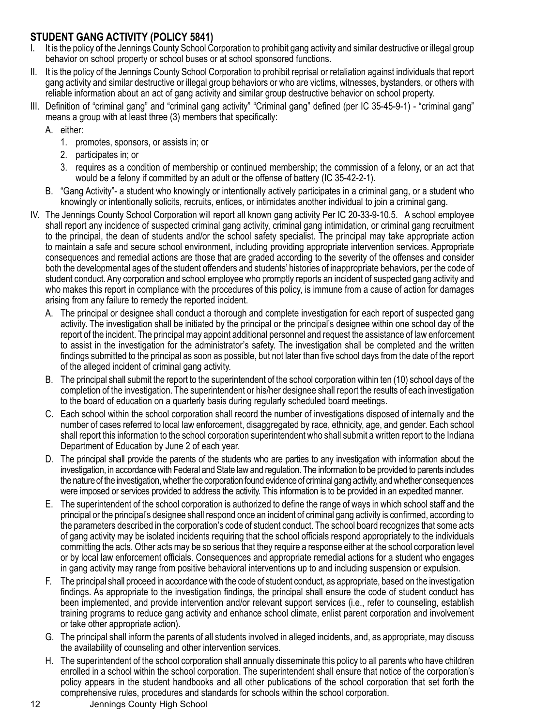# **STUDENT GANG ACTIVITY (POLICY 5841)**

- I. It is the policy of the Jennings County School Corporation to prohibit gang activity and similar destructive or illegal group behavior on school property or school buses or at school sponsored functions.
- II. It is the policy of the Jennings County School Corporation to prohibit reprisal or retaliation against individuals that report gang activity and similar destructive or illegal group behaviors or who are victims, witnesses, bystanders, or others with reliable information about an act of gang activity and similar group destructive behavior on school property.
- III. Definition of "criminal gang" and "criminal gang activity" "Criminal gang" defined (per IC 35-45-9-1) "criminal gang" means a group with at least three (3) members that specifically:
	- A. either:
		- 1. promotes, sponsors, or assists in; or
		- 2. participates in; or
		- 3. requires as a condition of membership or continued membership; the commission of a felony, or an act that would be a felony if committed by an adult or the offense of battery (IC 35-42-2-1).
	- B. "Gang Activity"- a student who knowingly or intentionally actively participates in a criminal gang, or a student who knowingly or intentionally solicits, recruits, entices, or intimidates another individual to join a criminal gang.
- IV. The Jennings County School Corporation will report all known gang activity Per IC 20-33-9-10.5. A school employee shall report any incidence of suspected criminal gang activity, criminal gang intimidation, or criminal gang recruitment to the principal, the dean of students and/or the school safety specialist. The principal may take appropriate action to maintain a safe and secure school environment, including providing appropriate intervention services. Appropriate consequences and remedial actions are those that are graded according to the severity of the offenses and consider both the developmental ages of the student offenders and students' histories of inappropriate behaviors, per the code of student conduct. Any corporation and school employee who promptly reports an incident of suspected gang activity and who makes this report in compliance with the procedures of this policy, is immune from a cause of action for damages arising from any failure to remedy the reported incident.
	- A. The principal or designee shall conduct a thorough and complete investigation for each report of suspected gang activity. The investigation shall be initiated by the principal or the principal's designee within one school day of the report of the incident. The principal may appoint additional personnel and request the assistance of law enforcement to assist in the investigation for the administrator's safety. The investigation shall be completed and the written findings submitted to the principal as soon as possible, but not later than five school days from the date of the report of the alleged incident of criminal gang activity.
	- B. The principal shall submit the report to the superintendent of the school corporation within ten (10) school days of the completion of the investigation. The superintendent or his/her designee shall report the results of each investigation to the board of education on a quarterly basis during regularly scheduled board meetings.
	- C. Each school within the school corporation shall record the number of investigations disposed of internally and the number of cases referred to local law enforcement, disaggregated by race, ethnicity, age, and gender. Each school shall report this information to the school corporation superintendent who shall submit a written report to the Indiana Department of Education by June 2 of each year.
	- D. The principal shall provide the parents of the students who are parties to any investigation with information about the investigation, in accordance with Federal and State law and regulation. The information to be provided to parents includes the nature of the investigation, whether the corporation found evidence of criminal gang activity, and whether consequences were imposed or services provided to address the activity. This information is to be provided in an expedited manner.
	- E. The superintendent of the school corporation is authorized to define the range of ways in which school staff and the principal or the principal's designee shall respond once an incident of criminal gang activity is confirmed, according to the parameters described in the corporation's code of student conduct. The school board recognizes that some acts of gang activity may be isolated incidents requiring that the school officials respond appropriately to the individuals committing the acts. Other acts may be so serious that they require a response either at the school corporation level or by local law enforcement officials. Consequences and appropriate remedial actions for a student who engages in gang activity may range from positive behavioral interventions up to and including suspension or expulsion.
	- F. The principal shall proceed in accordance with the code of student conduct, as appropriate, based on the investigation findings. As appropriate to the investigation findings, the principal shall ensure the code of student conduct has been implemented, and provide intervention and/or relevant support services (i.e., refer to counseling, establish training programs to reduce gang activity and enhance school climate, enlist parent corporation and involvement or take other appropriate action).
	- G. The principal shall inform the parents of all students involved in alleged incidents, and, as appropriate, may discuss the availability of counseling and other intervention services.
	- H. The superintendent of the school corporation shall annually disseminate this policy to all parents who have children enrolled in a school within the school corporation. The superintendent shall ensure that notice of the corporation's policy appears in the student handbooks and all other publications of the school corporation that set forth the comprehensive rules, procedures and standards for schools within the school corporation.
- 12 Jennings County High School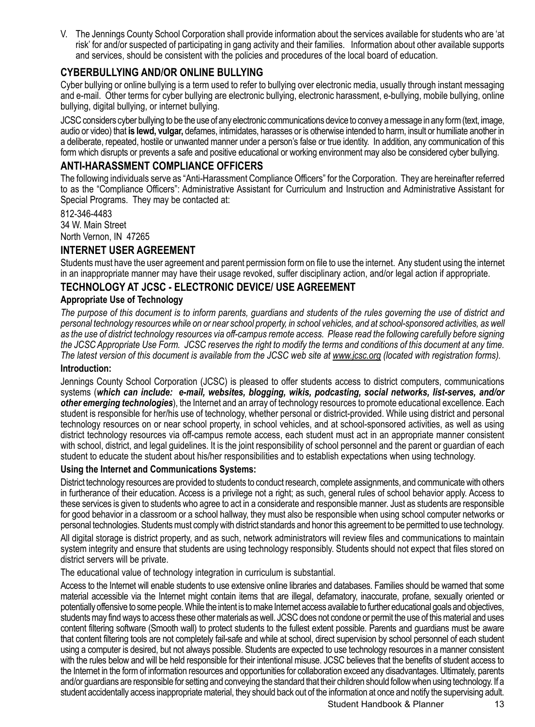V. The Jennings County School Corporation shall provide information about the services available for students who are 'at risk' for and/or suspected of participating in gang activity and their families. Information about other available supports and services, should be consistent with the policies and procedures of the local board of education.

#### **CYBERBULLYING AND/OR ONLINE BULLYING**

Cyber bullying or online bullying is a term used to refer to bullying over electronic media, usually through instant messaging and e-mail. Other terms for cyber bullying are electronic bullying, electronic harassment, e-bullying, mobile bullying, online bullying, digital bullying, or internet bullying.

JCSC considers cyber bullying to be the use of any electronic communications device to convey a message in any form (text, image, audio or video) that **is lewd, vulgar,** defames, intimidates, harasses or is otherwise intended to harm, insult or humiliate another in a deliberate, repeated, hostile or unwanted manner under a person's false or true identity. In addition, any communication of this form which disrupts or prevents a safe and positive educational or working environment may also be considered cyber bullying.

#### **ANTI-HARASSMENT COMPLIANCE OFFICERS**

The following individuals serve as "Anti-Harassment Compliance Officers" for the Corporation. They are hereinafter referred to as the "Compliance Officers": Administrative Assistant for Curriculum and Instruction and Administrative Assistant for Special Programs. They may be contacted at:

812-346-4483 34 W. Main Street North Vernon, IN 47265

## **INTERNET USER AGREEMENT**

Students must have the user agreement and parent permission form on file to use the internet. Any student using the internet in an inappropriate manner may have their usage revoked, suffer disciplinary action, and/or legal action if appropriate.

#### **TECHNOLOGY AT JCSC - ELECTRONIC DEVICE/ USE AGREEMENT**

#### **Appropriate Use of Technology**

*The purpose of this document is to inform parents, guardians and students of the rules governing the use of district and*  personal technology resources while on or near school property, in school vehicles, and at school-sponsored activities, as well *as the use of district technology resources via off-campus remote access. Please read the following carefully before signing the JCSC Appropriate Use Form. JCSC reserves the right to modify the terms and conditions of this document at any time. The latest version of this document is available from the JCSC web site at www.jcsc.org (located with registration forms).* **Introduction:**

Jennings County School Corporation (JCSC) is pleased to offer students access to district computers, communications systems (*which can include: e-mail, websites, blogging, wikis, podcasting, social networks, list-serves, and/or other emerging technologies*), the Internet and an array of technology resources to promote educational excellence. Each student is responsible for her/his use of technology, whether personal or district-provided. While using district and personal technology resources on or near school property, in school vehicles, and at school-sponsored activities, as well as using district technology resources via off-campus remote access, each student must act in an appropriate manner consistent with school, district, and legal guidelines. It is the joint responsibility of school personnel and the parent or guardian of each student to educate the student about his/her responsibilities and to establish expectations when using technology.

#### **Using the Internet and Communications Systems:**

District technology resources are provided to students to conduct research, complete assignments, and communicate with others in furtherance of their education. Access is a privilege not a right; as such, general rules of school behavior apply. Access to these services is given to students who agree to act in a considerate and responsible manner. Just as students are responsible for good behavior in a classroom or a school hallway, they must also be responsible when using school computer networks or personal technologies. Students must comply with district standards and honor this agreement to be permitted to use technology.

All digital storage is district property, and as such, network administrators will review files and communications to maintain system integrity and ensure that students are using technology responsibly. Students should not expect that files stored on district servers will be private.

The educational value of technology integration in curriculum is substantial.

Access to the Internet will enable students to use extensive online libraries and databases. Families should be warned that some material accessible via the Internet might contain items that are illegal, defamatory, inaccurate, profane, sexually oriented or potentially offensive to some people. While the intent is to make Internet access available to further educational goals and objectives, students may find ways to access these other materials as well. JCSC does not condone or permit the use of this material and uses content filtering software (Smooth wall) to protect students to the fullest extent possible. Parents and guardians must be aware that content filtering tools are not completely fail-safe and while at school, direct supervision by school personnel of each student using a computer is desired, but not always possible. Students are expected to use technology resources in a manner consistent with the rules below and will be held responsible for their intentional misuse. JCSC believes that the benefits of student access to the Internet in the form of information resources and opportunities for collaboration exceed any disadvantages. Ultimately, parents and/or guardians are responsible for setting and conveying the standard that their children should follow when using technology. If a student accidentally access inappropriate material, they should back out of the information at once and notify the supervising adult.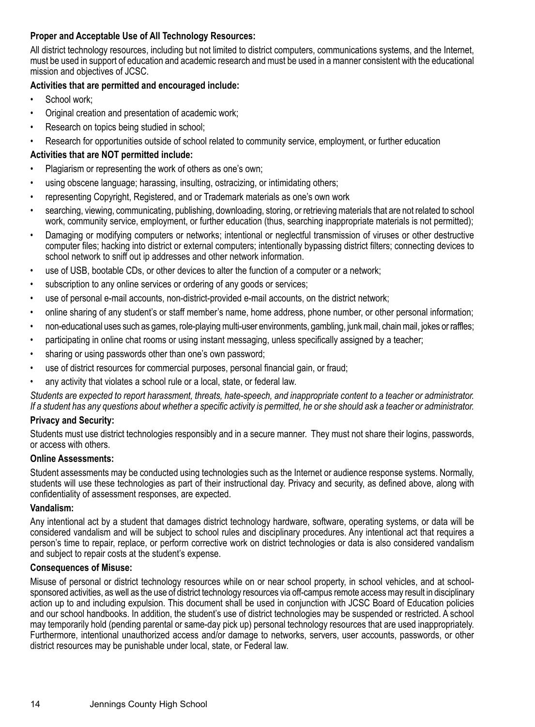#### **Proper and Acceptable Use of All Technology Resources:**

All district technology resources, including but not limited to district computers, communications systems, and the Internet, must be used in support of education and academic research and must be used in a manner consistent with the educational mission and objectives of JCSC.

#### **Activities that are permitted and encouraged include:**

- School work:
- Original creation and presentation of academic work;
- Research on topics being studied in school;
- Research for opportunities outside of school related to community service, employment, or further education

#### **Activities that are NOT permitted include:**

- Plagiarism or representing the work of others as one's own;
- using obscene language; harassing, insulting, ostracizing, or intimidating others;
- representing Copyright, Registered, and or Trademark materials as one's own work
- searching, viewing, communicating, publishing, downloading, storing, or retrieving materials that are not related to school work, community service, employment, or further education (thus, searching inappropriate materials is not permitted);
- Damaging or modifying computers or networks; intentional or neglectful transmission of viruses or other destructive computer files; hacking into district or external computers; intentionally bypassing district filters; connecting devices to school network to sniff out ip addresses and other network information.
- use of USB, bootable CDs, or other devices to alter the function of a computer or a network;
- subscription to any online services or ordering of any goods or services;
- use of personal e-mail accounts, non-district-provided e-mail accounts, on the district network;
- online sharing of any student's or staff member's name, home address, phone number, or other personal information;
- non-educational uses such as games, role-playing multi-user environments, gambling, junk mail, chain mail, jokes or raffles;
- participating in online chat rooms or using instant messaging, unless specifically assigned by a teacher;
- sharing or using passwords other than one's own password;
- use of district resources for commercial purposes, personal financial gain, or fraud;
- any activity that violates a school rule or a local, state, or federal law.

*Students are expected to report harassment, threats, hate-speech, and inappropriate content to a teacher or administrator. If a student has any questions about whether a specific activity is permitted, he or she should ask a teacher or administrator.*

#### **Privacy and Security:**

Students must use district technologies responsibly and in a secure manner. They must not share their logins, passwords, or access with others.

#### **Online Assessments:**

Student assessments may be conducted using technologies such as the Internet or audience response systems. Normally, students will use these technologies as part of their instructional day. Privacy and security, as defined above, along with confidentiality of assessment responses, are expected.

#### **Vandalism:**

Any intentional act by a student that damages district technology hardware, software, operating systems, or data will be considered vandalism and will be subject to school rules and disciplinary procedures. Any intentional act that requires a person's time to repair, replace, or perform corrective work on district technologies or data is also considered vandalism and subject to repair costs at the student's expense.

#### **Consequences of Misuse:**

Misuse of personal or district technology resources while on or near school property, in school vehicles, and at schoolsponsored activities, as well as the use of district technology resources via off-campus remote access may result in disciplinary action up to and including expulsion. This document shall be used in conjunction with JCSC Board of Education policies and our school handbooks. In addition, the student's use of district technologies may be suspended or restricted. A school may temporarily hold (pending parental or same-day pick up) personal technology resources that are used inappropriately. Furthermore, intentional unauthorized access and/or damage to networks, servers, user accounts, passwords, or other district resources may be punishable under local, state, or Federal law.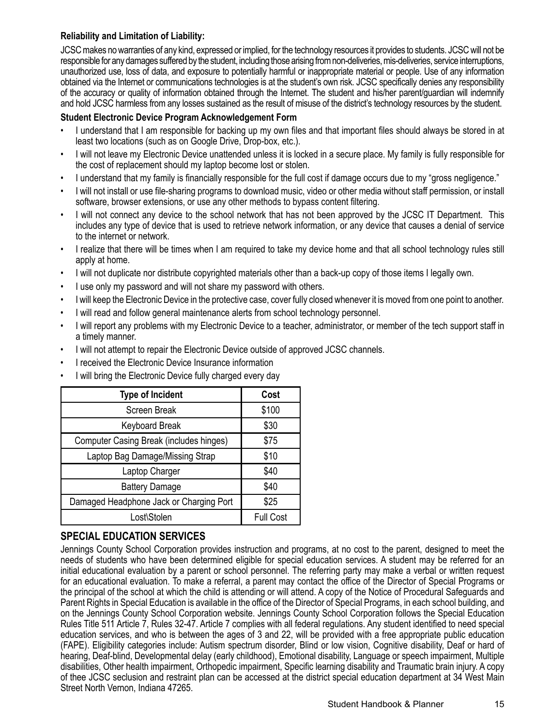#### **Reliability and Limitation of Liability:**

JCSC makes no warranties of any kind, expressed or implied, for the technology resources it provides to students. JCSC will not be responsible for any damages suffered by the student, including those arising from non-deliveries, mis-deliveries, service interruptions, unauthorized use, loss of data, and exposure to potentially harmful or inappropriate material or people. Use of any information obtained via the Internet or communications technologies is at the student's own risk. JCSC specifically denies any responsibility of the accuracy or quality of information obtained through the Internet. The student and his/her parent/guardian will indemnify and hold JCSC harmless from any losses sustained as the result of misuse of the district's technology resources by the student.

#### **Student Electronic Device Program Acknowledgement Form**

- I understand that I am responsible for backing up my own files and that important files should always be stored in at least two locations (such as on Google Drive, Drop-box, etc.).
- I will not leave my Electronic Device unattended unless it is locked in a secure place. My family is fully responsible for the cost of replacement should my laptop become lost or stolen.
- I understand that my family is financially responsible for the full cost if damage occurs due to my "gross negligence."
- I will not install or use file-sharing programs to download music, video or other media without staff permission, or install software, browser extensions, or use any other methods to bypass content filtering.
- I will not connect any device to the school network that has not been approved by the JCSC IT Department. This includes any type of device that is used to retrieve network information, or any device that causes a denial of service to the internet or network.
- I realize that there will be times when I am required to take my device home and that all school technology rules still apply at home.
- I will not duplicate nor distribute copyrighted materials other than a back-up copy of those items I legally own.
- I use only my password and will not share my password with others.
- I will keep the Electronic Device in the protective case, cover fully closed whenever it is moved from one point to another.
- I will read and follow general maintenance alerts from school technology personnel.
- I will report any problems with my Electronic Device to a teacher, administrator, or member of the tech support staff in a timely manner.
- I will not attempt to repair the Electronic Device outside of approved JCSC channels.
- I received the Electronic Device Insurance information
- I will bring the Electronic Device fully charged every day

| <b>Type of Incident</b>                 | Cost             |
|-----------------------------------------|------------------|
| Screen Break                            | \$100            |
| <b>Keyboard Break</b>                   | \$30             |
| Computer Casing Break (includes hinges) | \$75             |
| Laptop Bag Damage/Missing Strap         | \$10             |
| Laptop Charger                          | \$40             |
| <b>Battery Damage</b>                   | \$40             |
| Damaged Headphone Jack or Charging Port | \$25             |
| Lost\Stolen                             | <b>Full Cost</b> |

#### **SPECIAL EDUCATION SERVICES**

Jennings County School Corporation provides instruction and programs, at no cost to the parent, designed to meet the needs of students who have been determined eligible for special education services. A student may be referred for an initial educational evaluation by a parent or school personnel. The referring party may make a verbal or written request for an educational evaluation. To make a referral, a parent may contact the office of the Director of Special Programs or the principal of the school at which the child is attending or will attend. A copy of the Notice of Procedural Safeguards and Parent Rights in Special Education is available in the office of the Director of Special Programs, in each school building, and on the Jennings County School Corporation website. Jennings County School Corporation follows the Special Education Rules Title 511 Article 7, Rules 32-47. Article 7 complies with all federal regulations. Any student identified to need special education services, and who is between the ages of 3 and 22, will be provided with a free appropriate public education (FAPE). Eligibility categories include: Autism spectrum disorder, Blind or low vision, Cognitive disability, Deaf or hard of hearing, Deaf-blind, Developmental delay (early childhood), Emotional disability, Language or speech impairment, Multiple disabilities, Other health impairment, Orthopedic impairment, Specific learning disability and Traumatic brain injury. A copy of thee JCSC seclusion and restraint plan can be accessed at the district special education department at 34 West Main Street North Vernon, Indiana 47265.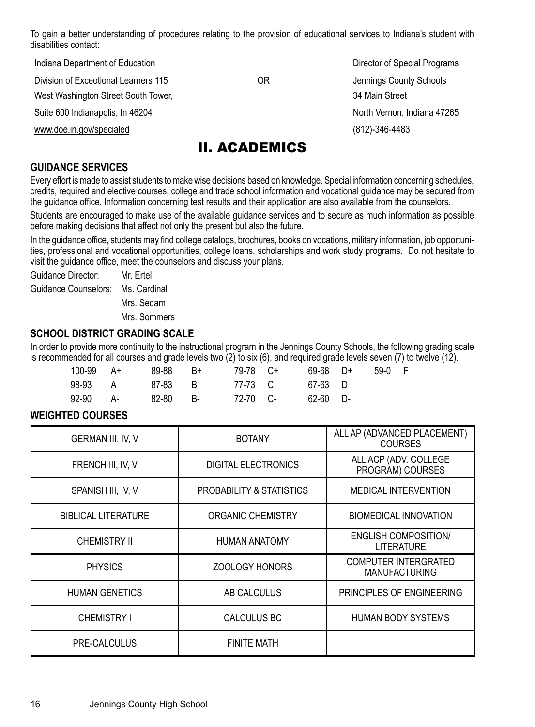To gain a better understanding of procedures relating to the provision of educational services to Indiana's student with disabilities contact:

Indiana Department of Education **Director of Special Programs** Director of Special Programs Division of Exceotional Learners 115 OR Jennings County Schools West Washington Street South Tower, 34 Main Street Suite 600 Indianapolis, In 46204 North Vernon, Indiana 47265 www.doe.in.gov/specialed (812)-346-4483 II. ACADEMICS

#### **GUIDANCE SERVICES**

Every effort is made to assist students to make wise decisions based on knowledge. Special information concerning schedules, credits, required and elective courses, college and trade school information and vocational guidance may be secured from the guidance office. Information concerning test results and their application are also available from the counselors.

Students are encouraged to make use of the available guidance services and to secure as much information as possible before making decisions that affect not only the present but also the future.

In the guidance office, students may find college catalogs, brochures, books on vocations, military information, job opportunities, professional and vocational opportunities, college loans, scholarships and work study programs. Do not hesitate to visit the guidance office, meet the counselors and discuss your plans.

Guidance Director: Mr. Ertel Guidance Counselors: Ms. Cardinal Mrs. Sedam

Mrs. Sommers

#### **SCHOOL DISTRICT GRADING SCALE**

In order to provide more continuity to the instructional program in the Jennings County Schools, the following grading scale is recommended for all courses and grade levels two (2) to six (6), and required grade levels seven (7) to twelve (12).

| $100-99$ A+ | 89-88    | - R+ | 79-78 C+ | 69-68 D+ | 59-0 F |  |
|-------------|----------|------|----------|----------|--------|--|
| 98-93 A     | 87-83 B  |      | 77-73 C  | 67-63 D  |        |  |
| 92-90 A-    | 82-80 B- |      | 72-70 C- | 62-60 D- |        |  |

#### **WEIGHTED COURSES**

| <b>GERMAN III. IV. V</b>   | <b>BOTANY</b>              | ALL AP (ADVANCED PLACEMENT)<br><b>COURSES</b>       |
|----------------------------|----------------------------|-----------------------------------------------------|
| FRENCH III, IV, V          | <b>DIGITAL ELECTRONICS</b> | ALL ACP (ADV. COLLEGE<br>PROGRAM) COURSES           |
| SPANISH III, IV, V         | PROBABILITY & STATISTICS   | <b>MEDICAL INTERVENTION</b>                         |
| <b>BIBLICAL LITERATURE</b> | ORGANIC CHEMISTRY          | <b>BIOMEDICAL INNOVATION</b>                        |
| <b>CHEMISTRY II</b>        | <b>HUMAN ANATOMY</b>       | <b>ENGLISH COMPOSITION</b><br><b>LITERATURE</b>     |
| <b>PHYSICS</b>             | <b>ZOOLOGY HONORS</b>      | <b>COMPUTER INTERGRATED</b><br><b>MANUFACTURING</b> |
| <b>HUMAN GENETICS</b>      | AB CALCULUS                | PRINCIPLES OF ENGINEERING                           |
| <b>CHEMISTRY I</b>         | <b>CALCULUS BC</b>         | <b>HUMAN BODY SYSTEMS</b>                           |
| PRE-CALCULUS               | <b>FINITE MATH</b>         |                                                     |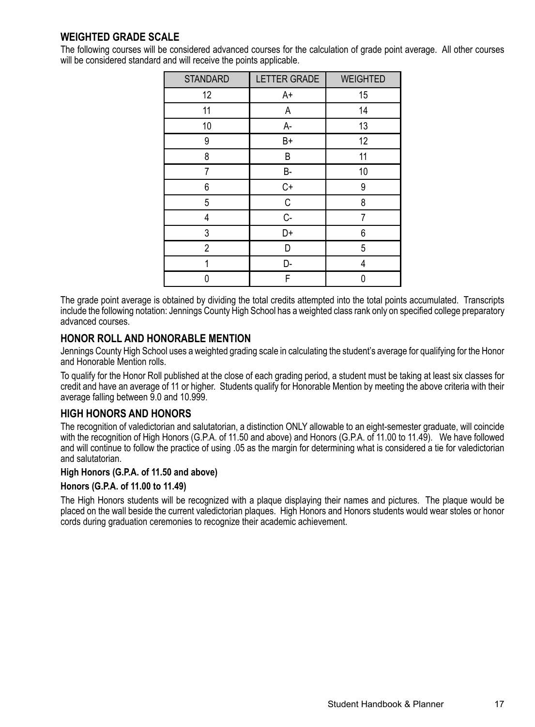# **WEIGHTED GRADE SCALE**

The following courses will be considered advanced courses for the calculation of grade point average. All other courses will be considered standard and will receive the points applicable.

| <b>STANDARD</b> | <b>LETTER GRADE</b> | <b>WEIGHTED</b> |
|-----------------|---------------------|-----------------|
| 12              | A+                  | 15              |
| 11              | Α                   | 14              |
| 10              | A-                  | 13              |
| 9               | B+                  | 12              |
| 8               | B                   | 11              |
| 7               | <b>B-</b>           | 10              |
| 6               | $C+$                | 9               |
| 5               | C                   | 8               |
| 4               | C-                  | 7               |
| 3               | D+                  | 6               |
| $\overline{2}$  | D                   | 5               |
| 1               | D-                  | 4               |
| 0               | F                   | 0               |

The grade point average is obtained by dividing the total credits attempted into the total points accumulated. Transcripts include the following notation: Jennings County High School has a weighted class rank only on specified college preparatory advanced courses.

#### **HONOR ROLL AND HONORABLE MENTION**

Jennings County High School uses a weighted grading scale in calculating the student's average for qualifying for the Honor and Honorable Mention rolls.

To qualify for the Honor Roll published at the close of each grading period, a student must be taking at least six classes for credit and have an average of 11 or higher. Students qualify for Honorable Mention by meeting the above criteria with their average falling between 9.0 and 10.999.

#### **HIGH HONORS AND HONORS**

The recognition of valedictorian and salutatorian, a distinction ONLY allowable to an eight-semester graduate, will coincide with the recognition of High Honors (G.P.A. of 11.50 and above) and Honors (G.P.A. of 11.00 to 11.49). We have followed and will continue to follow the practice of using .05 as the margin for determining what is considered a tie for valedictorian and salutatorian.

#### **High Honors (G.P.A. of 11.50 and above)**

#### **Honors (G.P.A. of 11.00 to 11.49)**

The High Honors students will be recognized with a plaque displaying their names and pictures. The plaque would be placed on the wall beside the current valedictorian plaques. High Honors and Honors students would wear stoles or honor cords during graduation ceremonies to recognize their academic achievement.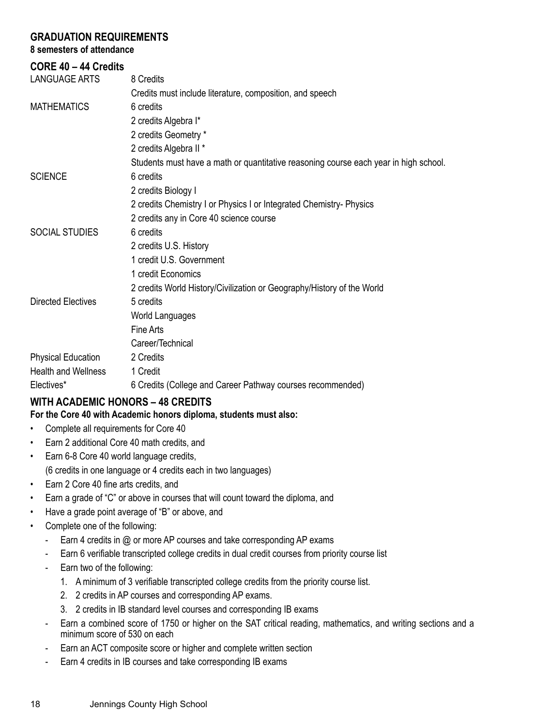#### **GRADUATION REQUIREMENTS**

## **8 semesters of attendance**

# **CORE 40 – 44 Credits**

| <b>LANGUAGE ARTS</b>       | 8 Credits                                                                            |
|----------------------------|--------------------------------------------------------------------------------------|
|                            | Credits must include literature, composition, and speech                             |
| <b>MATHEMATICS</b>         | 6 credits                                                                            |
|                            | 2 credits Algebra I*                                                                 |
|                            | 2 credits Geometry *                                                                 |
|                            | 2 credits Algebra II *                                                               |
|                            | Students must have a math or quantitative reasoning course each year in high school. |
| <b>SCIENCE</b>             | 6 credits                                                                            |
|                            | 2 credits Biology I                                                                  |
|                            | 2 credits Chemistry I or Physics I or Integrated Chemistry- Physics                  |
|                            | 2 credits any in Core 40 science course                                              |
| SOCIAL STUDIES             | 6 credits                                                                            |
|                            | 2 credits U.S. History                                                               |
|                            | 1 credit U.S. Government                                                             |
|                            | 1 credit Economics                                                                   |
|                            | 2 credits World History/Civilization or Geography/History of the World               |
| Directed Electives         | 5 credits                                                                            |
|                            | World Languages                                                                      |
|                            | Fine Arts                                                                            |
|                            | Career/Technical                                                                     |
| <b>Physical Education</b>  | 2 Credits                                                                            |
| <b>Health and Wellness</b> | 1 Credit                                                                             |
| Electives*                 | 6 Credits (College and Career Pathway courses recommended)                           |

# **WITH ACADEMIC HONORS – 48 CREDITS**

**For the Core 40 with Academic honors diploma, students must also:**

- Complete all requirements for Core 40
- Earn 2 additional Core 40 math credits, and
- Earn 6-8 Core 40 world language credits, (6 credits in one language or 4 credits each in two languages)
- Earn 2 Core 40 fine arts credits, and
- Earn a grade of "C" or above in courses that will count toward the diploma, and
- Have a grade point average of "B" or above, and
- Complete one of the following:
	- Earn 4 credits in @ or more AP courses and take corresponding AP exams
	- Earn 6 verifiable transcripted college credits in dual credit courses from priority course list
	- Earn two of the following:
		- 1. A minimum of 3 verifiable transcripted college credits from the priority course list.
		- 2. 2 credits in AP courses and corresponding AP exams.
		- 3. 2 credits in IB standard level courses and corresponding IB exams
	- Earn a combined score of 1750 or higher on the SAT critical reading, mathematics, and writing sections and a minimum score of 530 on each
	- Earn an ACT composite score or higher and complete written section
	- Earn 4 credits in IB courses and take corresponding IB exams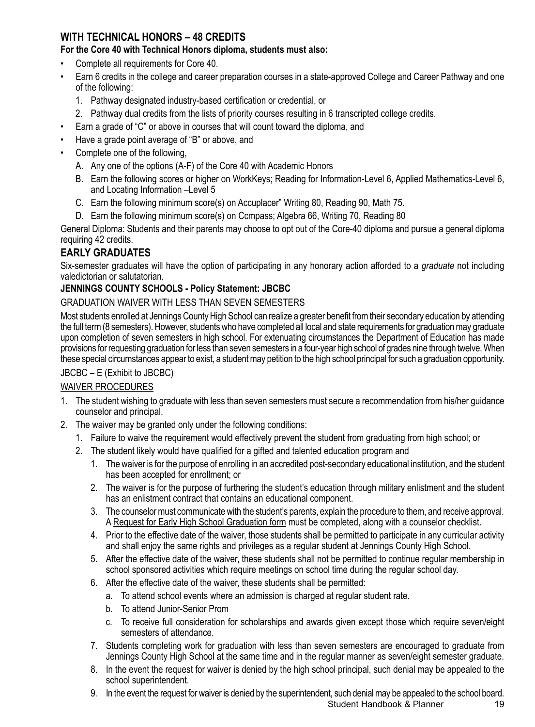# **WITH TECHNICAL HONORS – 48 CREDITS**

#### **For the Core 40 with Technical Honors diploma, students must also:**

- Complete all requirements for Core 40.
- Earn 6 credits in the college and career preparation courses in a state-approved College and Career Pathway and one of the following:
	- 1. Pathway designated industry-based certification or credential, or
	- 2. Pathway dual credits from the lists of priority courses resulting in 6 transcripted college credits.
- Earn a grade of "C" or above in courses that will count toward the diploma, and
- Have a grade point average of "B" or above, and
- Complete one of the following,
	- A. Any one of the options (A-F) of the Core 40 with Academic Honors
	- B. Earn the following scores or higher on WorkKeys; Reading for Information-Level 6, Applied Mathematics-Level 6, and Locating Information –Level 5
	- C. Earn the following minimum score(s) on Accuplacer" Writing 80, Reading 90, Math 75.
	- D. Earn the following minimum score(s) on Ccmpass; Algebra 66, Writing 70, Reading 80

General Diploma: Students and their parents may choose to opt out of the Core-40 diploma and pursue a general diploma requiring 42 credits.

## **EARLY GRADUATES**

Six-semester graduates will have the option of participating in any honorary action afforded to a *graduate* not including valedictorian or salutatorian*.*

#### **JENNINGS COUNTY SCHOOLS - Policy Statement: JBCBC**

#### GRADUATION WAIVER WITH LESS THAN SEVEN SEMESTERS

Most students enrolled at Jennings County High School can realize a greater benefit from their secondary education by attending the full term (8 semesters). However, students who have completed all local and state requirements for graduation may graduate upon completion of seven semesters in high school. For extenuating circumstances the Department of Education has made provisions for requesting graduation for less than seven semesters in a four-year high school of grades nine through twelve. When these special circumstances appear to exist, a student may petition to the high school principal for such a graduation opportunity.

#### JBCBC – E (Exhibit to JBCBC)

#### WAIVER PROCEDURES

- 1. The student wishing to graduate with less than seven semesters must secure a recommendation from his/her guidance counselor and principal.
- 2. The waiver may be granted only under the following conditions:
	- 1. Failure to waive the requirement would effectively prevent the student from graduating from high school; or
	- 2. The student likely would have qualified for a gifted and talented education program and
		- 1. The waiver is for the purpose of enrolling in an accredited post-secondary educational institution, and the student has been accepted for enrollment; or
		- 2. The waiver is for the purpose of furthering the student's education through military enlistment and the student has an enlistment contract that contains an educational component.
		- 3. The counselor must communicate with the student's parents, explain the procedure to them, and receive approval. A Request for Early High School Graduation form must be completed, along with a counselor checklist.
		- 4. Prior to the effective date of the waiver, those students shall be permitted to participate in any curricular activity and shall enjoy the same rights and privileges as a regular student at Jennings County High School.
		- 5. After the effective date of the waiver, these students shall not be permitted to continue regular membership in school sponsored activities which require meetings on school time during the regular school day.
		- 6. After the effective date of the waiver, these students shall be permitted:
			- a. To attend school events where an admission is charged at regular student rate.
			- b. To attend Junior-Senior Prom
			- c. To receive full consideration for scholarships and awards given except those which require seven/eight semesters of attendance.
		- 7. Students completing work for graduation with less than seven semesters are encouraged to graduate from Jennings County High School at the same time and in the regular manner as seven/eight semester graduate.
		- 8. In the event the request for waiver is denied by the high school principal, such denial may be appealed to the school superintendent.
		- 9. In the event the request for waiver is denied by the superintendent, such denial may be appealed to the school board.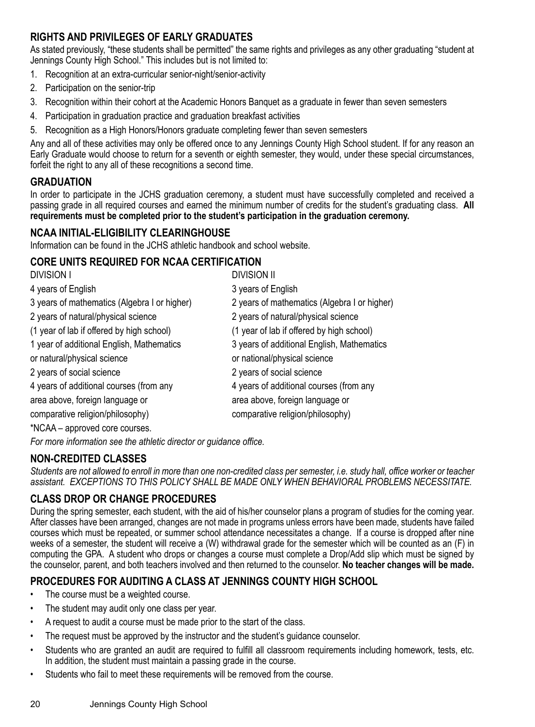# **RIGHTS AND PRIVILEGES OF EARLY GRADUATES**

As stated previously, "these students shall be permitted" the same rights and privileges as any other graduating "student at Jennings County High School." This includes but is not limited to:

- 1. Recognition at an extra-curricular senior-night/senior-activity
- 2. Participation on the senior-trip
- 3. Recognition within their cohort at the Academic Honors Banquet as a graduate in fewer than seven semesters
- 4. Participation in graduation practice and graduation breakfast activities
- 5. Recognition as a High Honors/Honors graduate completing fewer than seven semesters

Any and all of these activities may only be offered once to any Jennings County High School student. If for any reason an Early Graduate would choose to return for a seventh or eighth semester, they would, under these special circumstances, forfeit the right to any all of these recognitions a second time.

# **GRADUATION**

In order to participate in the JCHS graduation ceremony, a student must have successfully completed and received a passing grade in all required courses and earned the minimum number of credits for the student's graduating class. **All requirements must be completed prior to the student's participation in the graduation ceremony.**

# **NCAA INITIAL-ELIGIBILITY CLEARINGHOUSE**

Information can be found in the JCHS athletic handbook and school website.

# **CORE UNITS REQUIRED FOR NCAA CERTIFICATION**

| <b>DIVISION I</b>                            | <b>DIVISION II</b>                           |
|----------------------------------------------|----------------------------------------------|
| 4 years of English                           | 3 years of English                           |
| 3 years of mathematics (Algebra I or higher) | 2 years of mathematics (Algebra I or higher) |
| 2 years of natural/physical science          | 2 years of natural/physical science          |
| (1 year of lab if offered by high school)    | (1 year of lab if offered by high school)    |
| 1 year of additional English, Mathematics    | 3 years of additional English, Mathematics   |
| or natural/physical science                  | or national/physical science                 |
| 2 years of social science                    | 2 years of social science                    |
| 4 years of additional courses (from any      | 4 years of additional courses (from any      |
| area above, foreign language or              | area above, foreign language or              |
| comparative religion/philosophy)             | comparative religion/philosophy)             |
|                                              |                                              |

\*NCAA – approved core courses.

*For more information see the athletic director or guidance office.*

# **NON-CREDITED CLASSES**

*Students are not allowed to enroll in more than one non-credited class per semester, i.e. study hall, office worker or teacher assistant. EXCEPTIONS TO THIS POLICY SHALL BE MADE ONLY WHEN BEHAVIORAL PROBLEMS NECESSITATE.*

# **CLASS DROP OR CHANGE PROCEDURES**

During the spring semester, each student, with the aid of his/her counselor plans a program of studies for the coming year. After classes have been arranged, changes are not made in programs unless errors have been made, students have failed courses which must be repeated, or summer school attendance necessitates a change. If a course is dropped after nine weeks of a semester, the student will receive a (W) withdrawal grade for the semester which will be counted as an (F) in computing the GPA. A student who drops or changes a course must complete a Drop/Add slip which must be signed by the counselor, parent, and both teachers involved and then returned to the counselor. **No teacher changes will be made.**

# **PROCEDURES FOR AUDITING A CLASS AT JENNINGS COUNTY HIGH SCHOOL**

- The course must be a weighted course.
- The student may audit only one class per year.
- A request to audit a course must be made prior to the start of the class.
- The request must be approved by the instructor and the student's guidance counselor.
- Students who are granted an audit are required to fulfill all classroom requirements including homework, tests, etc. In addition, the student must maintain a passing grade in the course.
- Students who fail to meet these requirements will be removed from the course.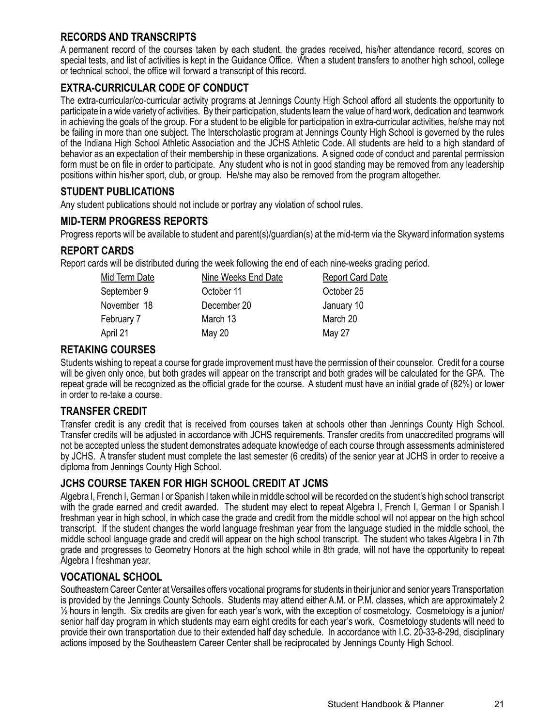# **RECORDS AND TRANSCRIPTS**

A permanent record of the courses taken by each student, the grades received, his/her attendance record, scores on special tests, and list of activities is kept in the Guidance Office. When a student transfers to another high school, college or technical school, the office will forward a transcript of this record.

## **EXTRA-CURRICULAR CODE OF CONDUCT**

The extra-curricular/co-curricular activity programs at Jennings County High School afford all students the opportunity to participate in a wide variety of activities. By their participation, students learn the value of hard work, dedication and teamwork in achieving the goals of the group. For a student to be eligible for participation in extra-curricular activities, he/she may not be failing in more than one subject. The Interscholastic program at Jennings County High School is governed by the rules of the Indiana High School Athletic Association and the JCHS Athletic Code. All students are held to a high standard of behavior as an expectation of their membership in these organizations. A signed code of conduct and parental permission form must be on file in order to participate. Any student who is not in good standing may be removed from any leadership positions within his/her sport, club, or group. He/she may also be removed from the program altogether.

# **STUDENT PUBLICATIONS**

Any student publications should not include or portray any violation of school rules.

## **MID-TERM PROGRESS REPORTS**

Progress reports will be available to student and parent(s)/guardian(s) at the mid-term via the Skyward information systems

#### **REPORT CARDS**

Report cards will be distributed during the week following the end of each nine-weeks grading period.

| Mid Term Date | Nine Weeks End Date | <b>Report Card Date</b> |
|---------------|---------------------|-------------------------|
| September 9   | October 11          | October 25              |
| November 18   | December 20         | January 10              |
| February 7    | March 13            | March 20                |
| April 21      | May 20              | May 27                  |
|               |                     |                         |

#### **RETAKING COURSES**

Students wishing to repeat a course for grade improvement must have the permission of their counselor. Credit for a course will be given only once, but both grades will appear on the transcript and both grades will be calculated for the GPA. The repeat grade will be recognized as the official grade for the course. A student must have an initial grade of (82%) or lower in order to re-take a course.

#### **TRANSFER CREDIT**

Transfer credit is any credit that is received from courses taken at schools other than Jennings County High School. Transfer credits will be adjusted in accordance with JCHS requirements. Transfer credits from unaccredited programs will not be accepted unless the student demonstrates adequate knowledge of each course through assessments administered by JCHS. A transfer student must complete the last semester (6 credits) of the senior year at JCHS in order to receive a diploma from Jennings County High School.

#### **JCHS COURSE TAKEN FOR HIGH SCHOOL CREDIT AT JCMS**

Algebra I, French I, German I or Spanish I taken while in middle school will be recorded on the student's high school transcript with the grade earned and credit awarded. The student may elect to repeat Algebra I, French I, German I or Spanish I freshman year in high school, in which case the grade and credit from the middle school will not appear on the high school transcript. If the student changes the world language freshman year from the language studied in the middle school, the middle school language grade and credit will appear on the high school transcript. The student who takes Algebra I in 7th grade and progresses to Geometry Honors at the high school while in 8th grade, will not have the opportunity to repeat Algebra I freshman year.

#### **VOCATIONAL SCHOOL**

Southeastern Career Center at Versailles offers vocational programs for students in their junior and senior years Transportation is provided by the Jennings County Schools. Students may attend either A.M. or P.M. classes, which are approximately 2 ½ hours in length. Six credits are given for each year's work, with the exception of cosmetology. Cosmetology is a junior/ senior half day program in which students may earn eight credits for each year's work. Cosmetology students will need to provide their own transportation due to their extended half day schedule. In accordance with I.C. 20-33-8-29d, disciplinary actions imposed by the Southeastern Career Center shall be reciprocated by Jennings County High School.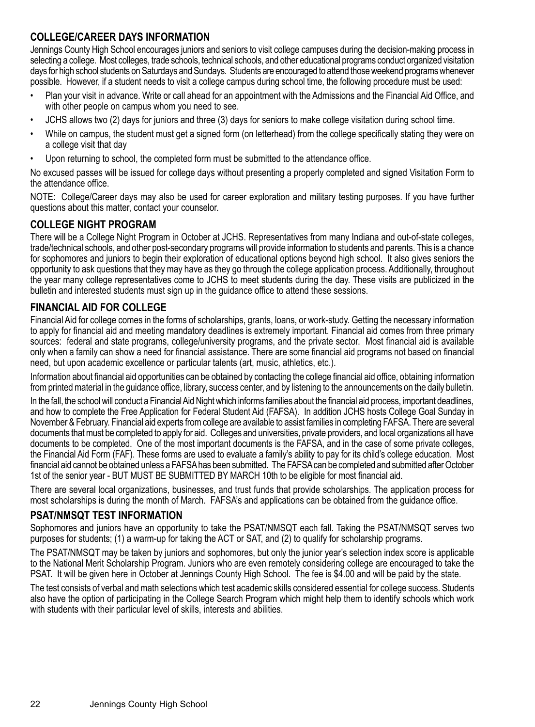# **COLLEGE/CAREER DAYS INFORMATION**

Jennings County High School encourages juniors and seniors to visit college campuses during the decision-making process in selecting a college. Most colleges, trade schools, technical schools, and other educational programs conduct organized visitation days for high school students on Saturdays and Sundays. Students are encouraged to attend those weekend programs whenever possible. However, if a student needs to visit a college campus during school time, the following procedure must be used:

- Plan your visit in advance. Write or call ahead for an appointment with the Admissions and the Financial Aid Office, and with other people on campus whom you need to see.
- JCHS allows two (2) days for juniors and three (3) days for seniors to make college visitation during school time.
- While on campus, the student must get a signed form (on letterhead) from the college specifically stating they were on a college visit that day
- Upon returning to school, the completed form must be submitted to the attendance office.

No excused passes will be issued for college days without presenting a properly completed and signed Visitation Form to the attendance office.

NOTE: College/Career days may also be used for career exploration and military testing purposes. If you have further questions about this matter, contact your counselor.

#### **COLLEGE NIGHT PROGRAM**

There will be a College Night Program in October at JCHS. Representatives from many Indiana and out-of-state colleges, trade/technical schools, and other post-secondary programs will provide information to students and parents. This is a chance for sophomores and juniors to begin their exploration of educational options beyond high school. It also gives seniors the opportunity to ask questions that they may have as they go through the college application process. Additionally, throughout the year many college representatives come to JCHS to meet students during the day. These visits are publicized in the bulletin and interested students must sign up in the guidance office to attend these sessions.

## **FINANCIAL AID FOR COLLEGE**

Financial Aid for college comes in the forms of scholarships, grants, loans, or work-study. Getting the necessary information to apply for financial aid and meeting mandatory deadlines is extremely important. Financial aid comes from three primary sources: federal and state programs, college/university programs, and the private sector. Most financial aid is available only when a family can show a need for financial assistance. There are some financial aid programs not based on financial need, but upon academic excellence or particular talents (art, music, athletics, etc.).

Information about financial aid opportunities can be obtained by contacting the college financial aid office, obtaining information from printed material in the guidance office, library, success center, and by listening to the announcements on the daily bulletin.

In the fall, the school will conduct a Financial Aid Night which informs families about the financial aid process, important deadlines, and how to complete the Free Application for Federal Student Aid (FAFSA). In addition JCHS hosts College Goal Sunday in November & February. Financial aid experts from college are available to assist families in completing FAFSA. There are several documents that must be completed to apply for aid. Colleges and universities, private providers, and local organizations all have documents to be completed. One of the most important documents is the FAFSA, and in the case of some private colleges, the Financial Aid Form (FAF). These forms are used to evaluate a family's ability to pay for its child's college education. Most financial aid cannot be obtained unless a FAFSA has been submitted. The FAFSA can be completed and submitted after October 1st of the senior year - BUT MUST BE SUBMITTED BY MARCH 10th to be eligible for most financial aid.

There are several local organizations, businesses, and trust funds that provide scholarships. The application process for most scholarships is during the month of March. FAFSA's and applications can be obtained from the guidance office.

# **PSAT/NMSQT TEST INFORMATION**

Sophomores and juniors have an opportunity to take the PSAT/NMSQT each fall. Taking the PSAT/NMSQT serves two purposes for students; (1) a warm-up for taking the ACT or SAT, and (2) to qualify for scholarship programs.

The PSAT/NMSQT may be taken by juniors and sophomores, but only the junior year's selection index score is applicable to the National Merit Scholarship Program. Juniors who are even remotely considering college are encouraged to take the PSAT. It will be given here in October at Jennings County High School. The fee is \$4.00 and will be paid by the state.

The test consists of verbal and math selections which test academic skills considered essential for college success. Students also have the option of participating in the College Search Program which might help them to identify schools which work with students with their particular level of skills, interests and abilities.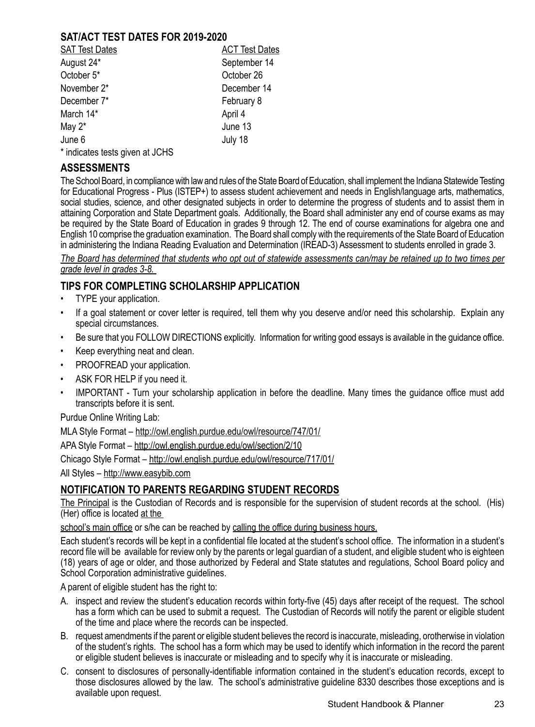#### **SAT/ACT TEST DATES FOR 2019-2020**

| <b>SAT Test Dates</b> | <b>ACT Test Dates</b> |
|-----------------------|-----------------------|
| August 24*            | September 14          |
| October 5*            | October 26            |
| November 2*           | December 14           |
| December 7*           | February 8            |
| March 14*             | April 4               |
| May $2^*$             | June 13               |
| June 6                | July 18               |
| .                     |                       |

\* indicates tests given at JCHS

## **ASSESSMENTS**

The School Board, in compliance with law and rules of the State Board of Education, shall implement the Indiana Statewide Testing for Educational Progress - Plus (ISTEP+) to assess student achievement and needs in English/language arts, mathematics, social studies, science, and other designated subjects in order to determine the progress of students and to assist them in attaining Corporation and State Department goals. Additionally, the Board shall administer any end of course exams as may be required by the State Board of Education in grades 9 through 12. The end of course examinations for algebra one and English 10 comprise the graduation examination. The Board shall comply with the requirements of the State Board of Education in administering the Indiana Reading Evaluation and Determination (IREAD-3) Assessment to students enrolled in grade 3.

*The Board has determined that students who opt out of statewide assessments can/may be retained up to two times per grade level in grades 3-8.* 

#### **TIPS FOR COMPLETING SCHOLARSHIP APPLICATION**

- TYPE your application.
- If a goal statement or cover letter is required, tell them why you deserve and/or need this scholarship. Explain any special circumstances.
- Be sure that you FOLLOW DIRECTIONS explicitly. Information for writing good essays is available in the guidance office.
- Keep everything neat and clean.
- PROOFREAD your application.
- ASK FOR HELP if you need it.
- IMPORTANT Turn your scholarship application in before the deadline. Many times the guidance office must add transcripts before it is sent.

Purdue Online Writing Lab:

MLA Style Format – http://owl.english.purdue.edu/owl/resource/747/01/

APA Style Format – http://owl.english.purdue.edu/owl/section/2/10

Chicago Style Format – http://owl.english.purdue.edu/owl/resource/717/01/

All Styles – http://www.easybib.com

#### **NOTIFICATION TO PARENTS REGARDING STUDENT RECORDS**

The Principal is the Custodian of Records and is responsible for the supervision of student records at the school. (His) (Her) office is located at the

school's main office or s/he can be reached by calling the office during business hours.

Each student's records will be kept in a confidential file located at the student's school office. The information in a student's record file will be available for review only by the parents or legal guardian of a student, and eligible student who is eighteen (18) years of age or older, and those authorized by Federal and State statutes and regulations, School Board policy and School Corporation administrative guidelines.

A parent of eligible student has the right to:

- A. inspect and review the student's education records within forty-five (45) days after receipt of the request. The school has a form which can be used to submit a request. The Custodian of Records will notify the parent or eligible student of the time and place where the records can be inspected.
- B. request amendments if the parent or eligible student believes the record is inaccurate, misleading, orotherwise in violation of the student's rights. The school has a form which may be used to identify which information in the record the parent or eligible student believes is inaccurate or misleading and to specify why it is inaccurate or misleading.
- C. consent to disclosures of personally-identifiable information contained in the student's education records, except to those disclosures allowed by the law. The school's administrative guideline 8330 describes those exceptions and is available upon request.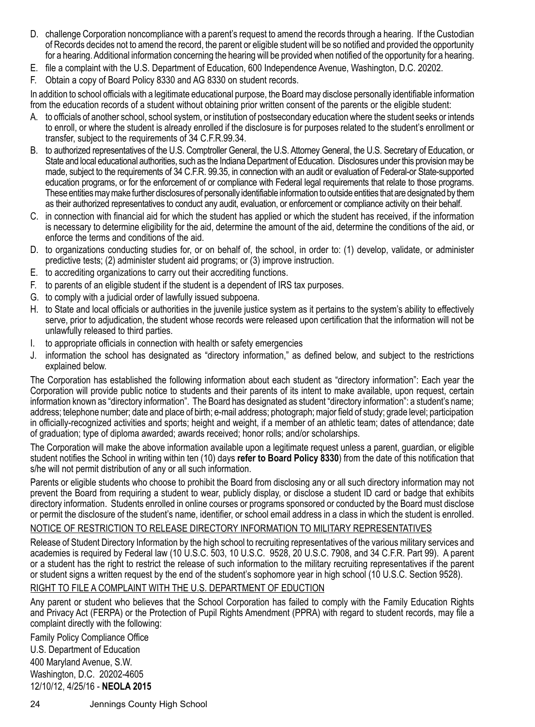- D. challenge Corporation noncompliance with a parent's request to amend the records through a hearing. If the Custodian of Records decides not to amend the record, the parent or eligible student will be so notified and provided the opportunity for a hearing. Additional information concerning the hearing will be provided when notified of the opportunity for a hearing.
- E. file a complaint with the U.S. Department of Education, 600 Independence Avenue, Washington, D.C. 20202.
- F. Obtain a copy of Board Policy 8330 and AG 8330 on student records.

In addition to school officials with a legitimate educational purpose, the Board may disclose personally identifiable information from the education records of a student without obtaining prior written consent of the parents or the eligible student:

- A. to officials of another school, school system, or institution of postsecondary education where the student seeks or intends to enroll, or where the student is already enrolled if the disclosure is for purposes related to the student's enrollment or transfer, subject to the requirements of 34 C.F.R.99.34.
- B. to authorized representatives of the U.S. Comptroller General, the U.S. Attorney General, the U.S. Secretary of Education, or State and local educational authorities, such as the Indiana Department of Education. Disclosures under this provision may be made, subject to the requirements of 34 C.F.R. 99.35, in connection with an audit or evaluation of Federal-or State-supported education programs, or for the enforcement of or compliance with Federal legal requirements that relate to those programs. These entities may make further disclosures of personally identifiable information to outside entities that are designated by them as their authorized representatives to conduct any audit, evaluation, or enforcement or compliance activity on their behalf.
- C. in connection with financial aid for which the student has applied or which the student has received, if the information is necessary to determine eligibility for the aid, determine the amount of the aid, determine the conditions of the aid, or enforce the terms and conditions of the aid.
- D. to organizations conducting studies for, or on behalf of, the school, in order to: (1) develop, validate, or administer predictive tests; (2) administer student aid programs; or (3) improve instruction.
- E. to accrediting organizations to carry out their accrediting functions.
- F. to parents of an eligible student if the student is a dependent of IRS tax purposes.
- G. to comply with a judicial order of lawfully issued subpoena.
- H. to State and local officials or authorities in the juvenile justice system as it pertains to the system's ability to effectively serve, prior to adjudication, the student whose records were released upon certification that the information will not be unlawfully released to third parties.
- I. to appropriate officials in connection with health or safety emergencies
- J. information the school has designated as "directory information," as defined below, and subject to the restrictions explained below.

The Corporation has established the following information about each student as "directory information": Each year the Corporation will provide public notice to students and their parents of its intent to make available, upon request, certain information known as "directory information". The Board has designated as student "directory information": a student's name; address; telephone number; date and place of birth; e-mail address; photograph; major field of study; grade level; participation in officially-recognized activities and sports; height and weight, if a member of an athletic team; dates of attendance; date of graduation; type of diploma awarded; awards received; honor rolls; and/or scholarships.

The Corporation will make the above information available upon a legitimate request unless a parent, guardian, or eligible student notifies the School in writing within ten (10) days **refer to Board Policy 8330**) from the date of this notification that s/he will not permit distribution of any or all such information.

Parents or eligible students who choose to prohibit the Board from disclosing any or all such directory information may not prevent the Board from requiring a student to wear, publicly display, or disclose a student ID card or badge that exhibits directory information. Students enrolled in online courses or programs sponsored or conducted by the Board must disclose or permit the disclosure of the student's name, identifier, or school email address in a class in which the student is enrolled. NOTICE OF RESTRICTION TO RELEASE DIRECTORY INFORMATION TO MILITARY REPRESENTATIVES

Release of Student Directory Information by the high school to recruiting representatives of the various military services and academies is required by Federal law (10 U.S.C. 503, 10 U.S.C. 9528, 20 U.S.C. 7908, and 34 C.F.R. Part 99). A parent or a student has the right to restrict the release of such information to the military recruiting representatives if the parent or student signs a written request by the end of the student's sophomore year in high school (10 U.S.C. Section 9528). RIGHT TO FILE A COMPLAINT WITH THE U.S. DEPARTMENT OF EDUCTION

Any parent or student who believes that the School Corporation has failed to comply with the Family Education Rights and Privacy Act (FERPA) or the Protection of Pupil Rights Amendment (PPRA) with regard to student records, may file a complaint directly with the following:

Family Policy Compliance Office U.S. Department of Education 400 Maryland Avenue, S.W. Washington, D.C. 20202-4605 12/10/12, 4/25/16 - **NEOLA 2015**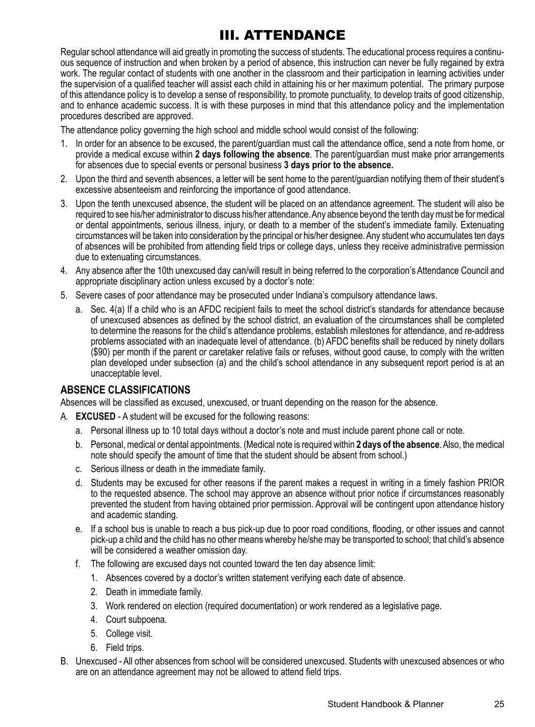# III. ATTENDANCE

Regular school attendance will aid greatly in promoting the success of students. The educational process requires a continuous sequence of instruction and when broken by a period of absence, this instruction can never be fully regained by extra work. The regular contact of students with one another in the classroom and their participation in learning activities under the supervision of a qualified teacher will assist each child in attaining his or her maximum potential. The primary purpose of this attendance policy is to develop a sense of responsibility, to promote punctuality, to develop traits of good citizenship, and to enhance academic success. It is with these purposes in mind that this attendance policy and the implementation procedures described are approved.

The attendance policy governing the high school and middle school would consist of the following:

- 1. In order for an absence to be excused, the parent/guardian must call the attendance office, send a note from home, or provide a medical excuse within **2 days following the absence**. The parent/guardian must make prior arrangements for absences due to special events or personal business **3 days prior to the absence.**
- 2. Upon the third and seventh absences, a letter will be sent home to the parent/guardian notifying them of their student's excessive absenteeism and reinforcing the importance of good attendance.
- 3. Upon the tenth unexcused absence, the student will be placed on an attendance agreement. The student will also be required to see his/her administrator to discuss his/her attendance. Any absence beyond the tenth day must be for medical or dental appointments, serious illness, injury, or death to a member of the student's immediate family. Extenuating circumstances will be taken into consideration by the principal or his/her designee. Any student who accumulates ten days of absences will be prohibited from attending field trips or college days, unless they receive administrative permission due to extenuating circumstances.
- 4. Any absence after the 10th unexcused day can/will result in being referred to the corporation's Attendance Council and appropriate disciplinary action unless excused by a doctor's note:
- 5. Severe cases of poor attendance may be prosecuted under Indiana's compulsory attendance laws.
	- a. Sec. 4(a) If a child who is an AFDC recipient fails to meet the school district's standards for attendance because of unexcused absences as defined by the school district, an evaluation of the circumstances shall be completed to determine the reasons for the child's attendance problems, establish milestones for attendance, and re-address problems associated with an inadequate level of attendance. (b) AFDC benefits shall be reduced by ninety dollars (\$90) per month if the parent or caretaker relative fails or refuses, without good cause, to comply with the written plan developed under subsection (a) and the child's school attendance in any subsequent report period is at an unacceptable level.

#### **ABSENCE CLASSIFICATIONS**

Absences will be classified as excused, unexcused, or truant depending on the reason for the absence.

- A. **EXCUSED**  A student will be excused for the following reasons:
	- a. Personal illness up to 10 total days without a doctor's note and must include parent phone call or note.
	- b. Personal, medical or dental appointments. (Medical note is required within **2 days of the absence**. Also, the medical note should specify the amount of time that the student should be absent from school.)
	- c. Serious illness or death in the immediate family.
	- d. Students may be excused for other reasons if the parent makes a request in writing in a timely fashion PRIOR to the requested absence. The school may approve an absence without prior notice if circumstances reasonably prevented the student from having obtained prior permission. Approval will be contingent upon attendance history and academic standing.
	- e. If a school bus is unable to reach a bus pick-up due to poor road conditions, flooding, or other issues and cannot pick-up a child and the child has no other means whereby he/she may be transported to school; that child's absence will be considered a weather omission day.
	- f. The following are excused days not counted toward the ten day absence limit:
		- 1. Absences covered by a doctor's written statement verifying each date of absence.
		- 2. Death in immediate family.
		- 3. Work rendered on election (required documentation) or work rendered as a legislative page.
		- 4. Court subpoena.
		- 5. College visit.
		- 6. Field trips.
- B. Unexcused All other absences from school will be considered unexcused. Students with unexcused absences or who are on an attendance agreement may not be allowed to attend field trips.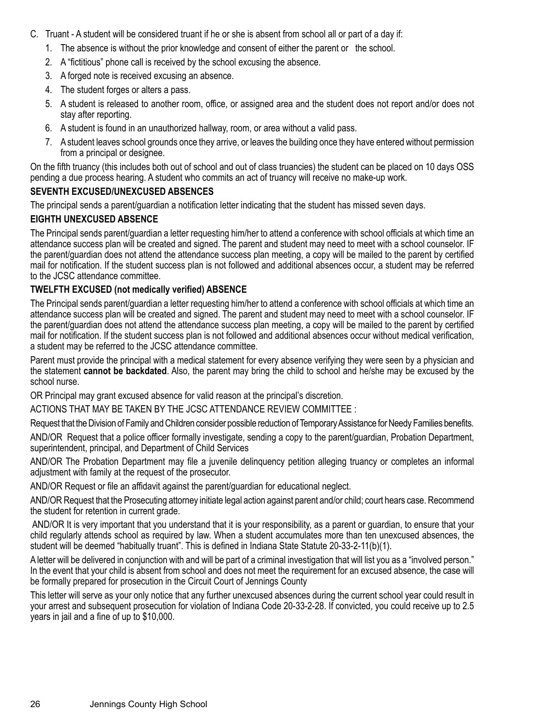- C. Truant A student will be considered truant if he or she is absent from school all or part of a day if:
	- 1. The absence is without the prior knowledge and consent of either the parent or the school.
	- 2. A "fictitious" phone call is received by the school excusing the absence.
	- 3. A forged note is received excusing an absence.
	- 4. The student forges or alters a pass.
	- 5. A student is released to another room, office, or assigned area and the student does not report and/or does not stay after reporting.
	- 6. A student is found in an unauthorized hallway, room, or area without a valid pass.
	- 7. A student leaves school grounds once they arrive, or leaves the building once they have entered without permission from a principal or designee.

On the fifth truancy (this includes both out of school and out of class truancies) the student can be placed on 10 days OSS pending a due process hearing. A student who commits an act of truancy will receive no make-up work.

#### **SEVENTH EXCUSED/UNEXCUSED ABSENCES**

The principal sends a parent/guardian a notification letter indicating that the student has missed seven days.

#### **EIGHTH UNEXCUSED ABSENCE**

The Principal sends parent/guardian a letter requesting him/her to attend a conference with school officials at which time an attendance success plan will be created and signed. The parent and student may need to meet with a school counselor. IF the parent/guardian does not attend the attendance success plan meeting, a copy will be mailed to the parent by certified mail for notification. If the student success plan is not followed and additional absences occur, a student may be referred to the JCSC attendance committee.

#### **TWELFTH EXCUSED (not medically verified) ABSENCE**

The Principal sends parent/guardian a letter requesting him/her to attend a conference with school officials at which time an attendance success plan will be created and signed. The parent and student may need to meet with a school counselor. IF the parent/guardian does not attend the attendance success plan meeting, a copy will be mailed to the parent by certified mail for notification. If the student success plan is not followed and additional absences occur without medical verification, a student may be referred to the JCSC attendance committee.

Parent must provide the principal with a medical statement for every absence verifying they were seen by a physician and the statement **cannot be backdated**. Also, the parent may bring the child to school and he/she may be excused by the school nurse.

OR Principal may grant excused absence for valid reason at the principal's discretion.

ACTIONS THAT MAY BE TAKEN BY THE JCSC ATTENDANCE REVIEW COMMITTEE :

Request that the Division of Family and Children consider possible reduction of Temporary Assistance for Needy Families benefits.

AND/OR Request that a police officer formally investigate, sending a copy to the parent/guardian, Probation Department, superintendent, principal, and Department of Child Services

AND/OR The Probation Department may file a juvenile delinquency petition alleging truancy or completes an informal adjustment with family at the request of the prosecutor.

AND/OR Request or file an affidavit against the parent/guardian for educational neglect.

AND/OR Request that the Prosecuting attorney initiate legal action against parent and/or child; court hears case. Recommend the student for retention in current grade.

 AND/OR It is very important that you understand that it is your responsibility, as a parent or guardian, to ensure that your child regularly attends school as required by law. When a student accumulates more than ten unexcused absences, the student will be deemed "habitually truant". This is defined in Indiana State Statute 20-33-2-11(b)(1).

A letter will be delivered in conjunction with and will be part of a criminal investigation that will list you as a "involved person." In the event that your child is absent from school and does not meet the requirement for an excused absence, the case will be formally prepared for prosecution in the Circuit Court of Jennings County

This letter will serve as your only notice that any further unexcused absences during the current school year could result in your arrest and subsequent prosecution for violation of Indiana Code 20-33-2-28. If convicted, you could receive up to 2.5 years in jail and a fine of up to \$10,000.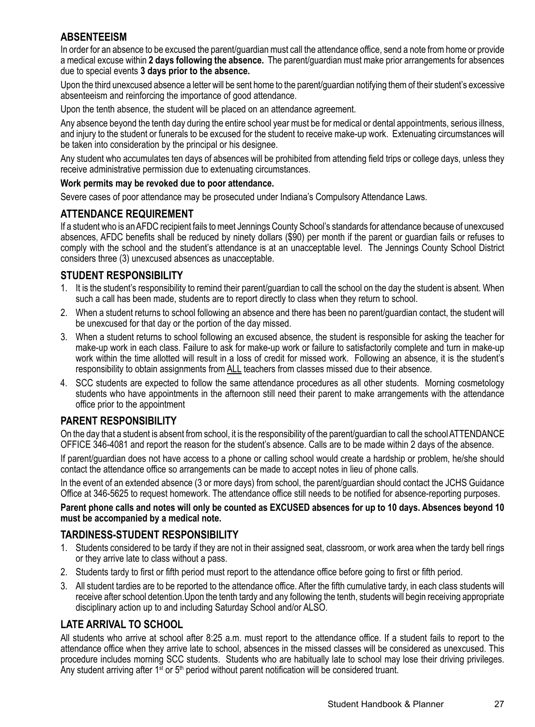#### **ABSENTEEISM**

In order for an absence to be excused the parent/guardian must call the attendance office, send a note from home or provide a medical excuse within **2 days following the absence.** The parent/guardian must make prior arrangements for absences due to special events **3 days prior to the absence.**

Upon the third unexcused absence a letter will be sent home to the parent/guardian notifying them of their student's excessive absenteeism and reinforcing the importance of good attendance.

Upon the tenth absence, the student will be placed on an attendance agreement.

Any absence beyond the tenth day during the entire school year must be for medical or dental appointments, serious illness, and injury to the student or funerals to be excused for the student to receive make-up work. Extenuating circumstances will be taken into consideration by the principal or his designee.

Any student who accumulates ten days of absences will be prohibited from attending field trips or college days, unless they receive administrative permission due to extenuating circumstances.

#### **Work permits may be revoked due to poor attendance.**

Severe cases of poor attendance may be prosecuted under Indiana's Compulsory Attendance Laws.

#### **ATTENDANCE REQUIREMENT**

If a student who is an AFDC recipient fails to meet Jennings County School's standards for attendance because of unexcused absences, AFDC benefits shall be reduced by ninety dollars (\$90) per month if the parent or guardian fails or refuses to comply with the school and the student's attendance is at an unacceptable level. The Jennings County School District considers three (3) unexcused absences as unacceptable.

#### **STUDENT RESPONSIBILITY**

- 1. It is the student's responsibility to remind their parent/guardian to call the school on the day the student is absent. When such a call has been made, students are to report directly to class when they return to school.
- 2. When a student returns to school following an absence and there has been no parent/guardian contact, the student will be unexcused for that day or the portion of the day missed.
- 3. When a student returns to school following an excused absence, the student is responsible for asking the teacher for make-up work in each class. Failure to ask for make-up work or failure to satisfactorily complete and turn in make-up work within the time allotted will result in a loss of credit for missed work. Following an absence, it is the student's responsibility to obtain assignments from ALL teachers from classes missed due to their absence.
- 4. SCC students are expected to follow the same attendance procedures as all other students. Morning cosmetology students who have appointments in the afternoon still need their parent to make arrangements with the attendance office prior to the appointment

#### **PARENT RESPONSIBILITY**

On the day that a student is absent from school, it is the responsibility of the parent/guardian to call the school ATTENDANCE OFFICE 346-4081 and report the reason for the student's absence. Calls are to be made within 2 days of the absence.

If parent/guardian does not have access to a phone or calling school would create a hardship or problem, he/she should contact the attendance office so arrangements can be made to accept notes in lieu of phone calls.

In the event of an extended absence (3 or more days) from school, the parent/guardian should contact the JCHS Guidance Office at 346-5625 to request homework. The attendance office still needs to be notified for absence-reporting purposes.

**Parent phone calls and notes will only be counted as EXCUSED absences for up to 10 days. Absences beyond 10 must be accompanied by a medical note.** 

#### **TARDINESS-STUDENT RESPONSIBILITY**

- 1. Students considered to be tardy if they are not in their assigned seat, classroom, or work area when the tardy bell rings or they arrive late to class without a pass.
- 2. Students tardy to first or fifth period must report to the attendance office before going to first or fifth period.
- 3. All student tardies are to be reported to the attendance office. After the fifth cumulative tardy, in each class students will receive after school detention.Upon the tenth tardy and any following the tenth, students will begin receiving appropriate disciplinary action up to and including Saturday School and/or ALSO.

## **LATE ARRIVAL TO SCHOOL**

All students who arrive at school after 8:25 a.m. must report to the attendance office. If a student fails to report to the attendance office when they arrive late to school, absences in the missed classes will be considered as unexcused. This procedure includes morning SCC students. Students who are habitually late to school may lose their driving privileges. Any student arriving after  $1^{st}$  or  $5^{th}$  period without parent notification will be considered truant.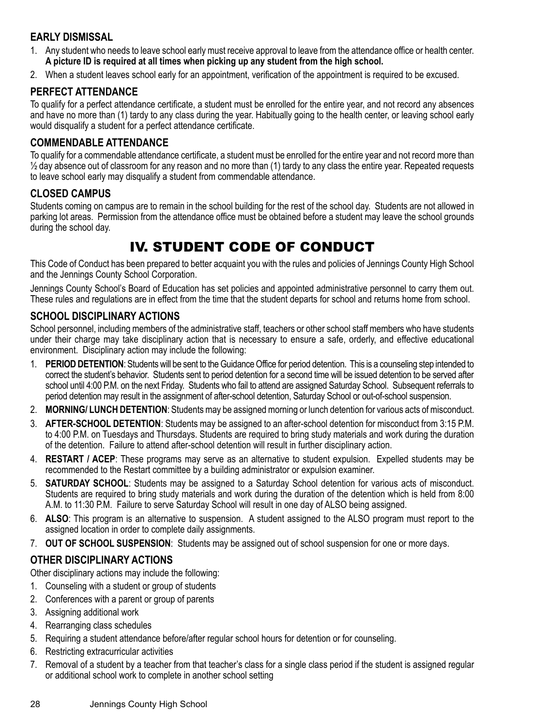# **EARLY DISMISSAL**

- 1. Any student who needs to leave school early must receive approval to leave from the attendance office or health center. **A picture ID is required at all times when picking up any student from the high school.**
- 2. When a student leaves school early for an appointment, verification of the appointment is required to be excused.

#### **PERFECT ATTENDANCE**

To qualify for a perfect attendance certificate, a student must be enrolled for the entire year, and not record any absences and have no more than (1) tardy to any class during the year. Habitually going to the health center, or leaving school early would disqualify a student for a perfect attendance certificate.

#### **COMMENDABLE ATTENDANCE**

To qualify for a commendable attendance certificate, a student must be enrolled for the entire year and not record more than  $\frac{1}{2}$  day absence out of classroom for any reason and no more than (1) tardy to any class the entire year. Repeated requests to leave school early may disqualify a student from commendable attendance.

#### **CLOSED CAMPUS**

Students coming on campus are to remain in the school building for the rest of the school day. Students are not allowed in parking lot areas. Permission from the attendance office must be obtained before a student may leave the school grounds during the school day.

# IV. STUDENT CODE OF CONDUCT

This Code of Conduct has been prepared to better acquaint you with the rules and policies of Jennings County High School and the Jennings County School Corporation.

Jennings County School's Board of Education has set policies and appointed administrative personnel to carry them out. These rules and regulations are in effect from the time that the student departs for school and returns home from school.

#### **SCHOOL DISCIPLINARY ACTIONS**

School personnel, including members of the administrative staff, teachers or other school staff members who have students under their charge may take disciplinary action that is necessary to ensure a safe, orderly, and effective educational environment. Disciplinary action may include the following:

- 1. **PERIOD DETENTION**: Students will be sent to the Guidance Office for period detention. This is a counseling step intended to correct the student's behavior. Students sent to period detention for a second time will be issued detention to be served after school until 4:00 P.M. on the next Friday. Students who fail to attend are assigned Saturday School. Subsequent referrals to period detention may result in the assignment of after-school detention, Saturday School or out-of-school suspension.
- 2. **MORNING/ LUNCH DETENTION**: Students may be assigned morning or lunch detention for various acts of misconduct.
- 3. **AFTER-SCHOOL DETENTION**: Students may be assigned to an after-school detention for misconduct from 3:15 P.M. to 4:00 P.M. on Tuesdays and Thursdays. Students are required to bring study materials and work during the duration of the detention. Failure to attend after-school detention will result in further disciplinary action.
- 4. **RESTART / ACEP**: These programs may serve as an alternative to student expulsion. Expelled students may be recommended to the Restart committee by a building administrator or expulsion examiner.
- 5. **SATURDAY SCHOOL**: Students may be assigned to a Saturday School detention for various acts of misconduct. Students are required to bring study materials and work during the duration of the detention which is held from 8:00 A.M. to 11:30 P.M. Failure to serve Saturday School will result in one day of ALSO being assigned.
- 6. **ALSO**: This program is an alternative to suspension. A student assigned to the ALSO program must report to the assigned location in order to complete daily assignments.
- 7. **OUT OF SCHOOL SUSPENSION**: Students may be assigned out of school suspension for one or more days.

#### **OTHER DISCIPLINARY ACTIONS**

Other disciplinary actions may include the following:

- 1. Counseling with a student or group of students
- 2. Conferences with a parent or group of parents
- 3. Assigning additional work
- 4. Rearranging class schedules
- 5. Requiring a student attendance before/after regular school hours for detention or for counseling.
- 6. Restricting extracurricular activities
- 7. Removal of a student by a teacher from that teacher's class for a single class period if the student is assigned regular or additional school work to complete in another school setting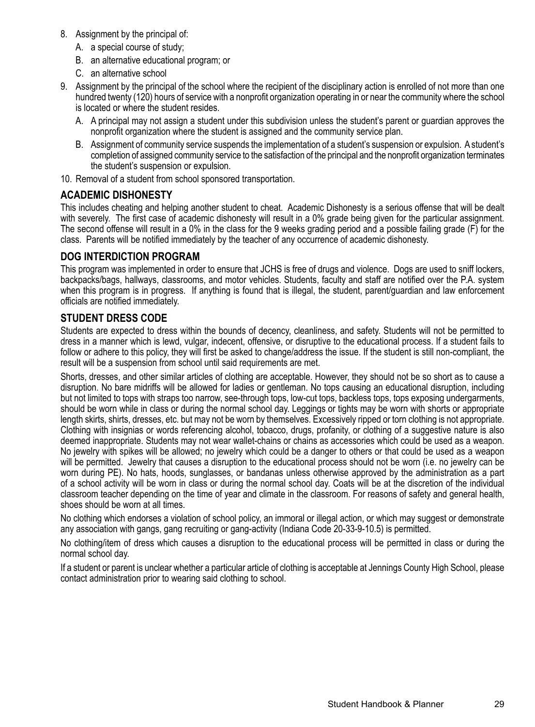- 8. Assignment by the principal of:
	- A. a special course of study;
	- B. an alternative educational program; or
	- C. an alternative school
- 9. Assignment by the principal of the school where the recipient of the disciplinary action is enrolled of not more than one hundred twenty (120) hours of service with a nonprofit organization operating in or near the community where the school is located or where the student resides.
	- A. A principal may not assign a student under this subdivision unless the student's parent or guardian approves the nonprofit organization where the student is assigned and the community service plan.
	- B. Assignment of community service suspends the implementation of a student's suspension or expulsion. A student's completion of assigned community service to the satisfaction of the principal and the nonprofit organization terminates the student's suspension or expulsion.
- 10. Removal of a student from school sponsored transportation.

#### **ACADEMIC DISHONESTY**

This includes cheating and helping another student to cheat. Academic Dishonesty is a serious offense that will be dealt with severely. The first case of academic dishonesty will result in a 0% grade being given for the particular assignment. The second offense will result in a 0% in the class for the 9 weeks grading period and a possible failing grade (F) for the class. Parents will be notified immediately by the teacher of any occurrence of academic dishonesty.

#### **DOG INTERDICTION PROGRAM**

This program was implemented in order to ensure that JCHS is free of drugs and violence. Dogs are used to sniff lockers, backpacks/bags, hallways, classrooms, and motor vehicles. Students, faculty and staff are notified over the P.A. system when this program is in progress. If anything is found that is illegal, the student, parent/guardian and law enforcement officials are notified immediately.

#### **STUDENT DRESS CODE**

Students are expected to dress within the bounds of decency, cleanliness, and safety. Students will not be permitted to dress in a manner which is lewd, vulgar, indecent, offensive, or disruptive to the educational process. If a student fails to follow or adhere to this policy, they will first be asked to change/address the issue. If the student is still non-compliant, the result will be a suspension from school until said requirements are met.

Shorts, dresses, and other similar articles of clothing are acceptable. However, they should not be so short as to cause a disruption. No bare midriffs will be allowed for ladies or gentleman. No tops causing an educational disruption, including but not limited to tops with straps too narrow, see-through tops, low-cut tops, backless tops, tops exposing undergarments, should be worn while in class or during the normal school day. Leggings or tights may be worn with shorts or appropriate length skirts, shirts, dresses, etc. but may not be worn by themselves. Excessively ripped or torn clothing is not appropriate. Clothing with insignias or words referencing alcohol, tobacco, drugs, profanity, or clothing of a suggestive nature is also deemed inappropriate. Students may not wear wallet-chains or chains as accessories which could be used as a weapon. No jewelry with spikes will be allowed; no jewelry which could be a danger to others or that could be used as a weapon will be permitted. Jewelry that causes a disruption to the educational process should not be worn (i.e. no jewelry can be worn during PE). No hats, hoods, sunglasses, or bandanas unless otherwise approved by the administration as a part of a school activity will be worn in class or during the normal school day. Coats will be at the discretion of the individual classroom teacher depending on the time of year and climate in the classroom. For reasons of safety and general health, shoes should be worn at all times.

No clothing which endorses a violation of school policy, an immoral or illegal action, or which may suggest or demonstrate any association with gangs, gang recruiting or gang-activity (Indiana Code 20-33-9-10.5) is permitted.

No clothing/item of dress which causes a disruption to the educational process will be permitted in class or during the normal school day.

If a student or parent is unclear whether a particular article of clothing is acceptable at Jennings County High School, please contact administration prior to wearing said clothing to school.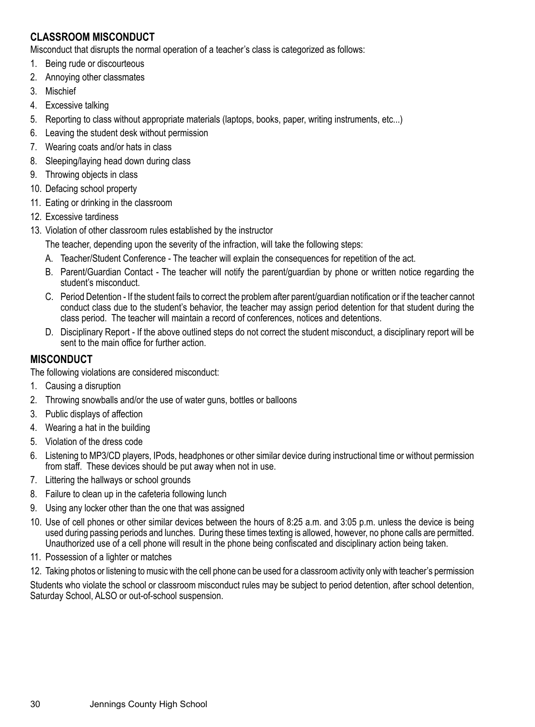# **CLASSROOM MISCONDUCT**

Misconduct that disrupts the normal operation of a teacher's class is categorized as follows:

- 1. Being rude or discourteous
- 2. Annoying other classmates
- 3. Mischief
- 4. Excessive talking
- 5. Reporting to class without appropriate materials (laptops, books, paper, writing instruments, etc...)
- 6. Leaving the student desk without permission
- 7. Wearing coats and/or hats in class
- 8. Sleeping/laying head down during class
- 9. Throwing objects in class
- 10. Defacing school property
- 11. Eating or drinking in the classroom
- 12. Excessive tardiness
- 13. Violation of other classroom rules established by the instructor

The teacher, depending upon the severity of the infraction, will take the following steps:

- A. Teacher/Student Conference The teacher will explain the consequences for repetition of the act.
- B. Parent/Guardian Contact The teacher will notify the parent/guardian by phone or written notice regarding the student's misconduct.
- C. Period Detention If the student fails to correct the problem after parent/guardian notification or if the teacher cannot conduct class due to the student's behavior, the teacher may assign period detention for that student during the class period. The teacher will maintain a record of conferences, notices and detentions.
- D. Disciplinary Report If the above outlined steps do not correct the student misconduct, a disciplinary report will be sent to the main office for further action.

# **MISCONDUCT**

The following violations are considered misconduct:

- 1. Causing a disruption
- 2. Throwing snowballs and/or the use of water guns, bottles or balloons
- 3. Public displays of affection
- 4. Wearing a hat in the building
- 5. Violation of the dress code
- 6. Listening to MP3/CD players, IPods, headphones or other similar device during instructional time or without permission from staff. These devices should be put away when not in use.
- 7. Littering the hallways or school grounds
- 8. Failure to clean up in the cafeteria following lunch
- 9. Using any locker other than the one that was assigned
- 10. Use of cell phones or other similar devices between the hours of 8:25 a.m. and 3:05 p.m. unless the device is being used during passing periods and lunches. During these times texting is allowed, however, no phone calls are permitted. Unauthorized use of a cell phone will result in the phone being confiscated and disciplinary action being taken.
- 11. Possession of a lighter or matches
- 12. Taking photos or listening to music with the cell phone can be used for a classroom activity only with teacher's permission Students who violate the school or classroom misconduct rules may be subject to period detention, after school detention, Saturday School, ALSO or out-of-school suspension.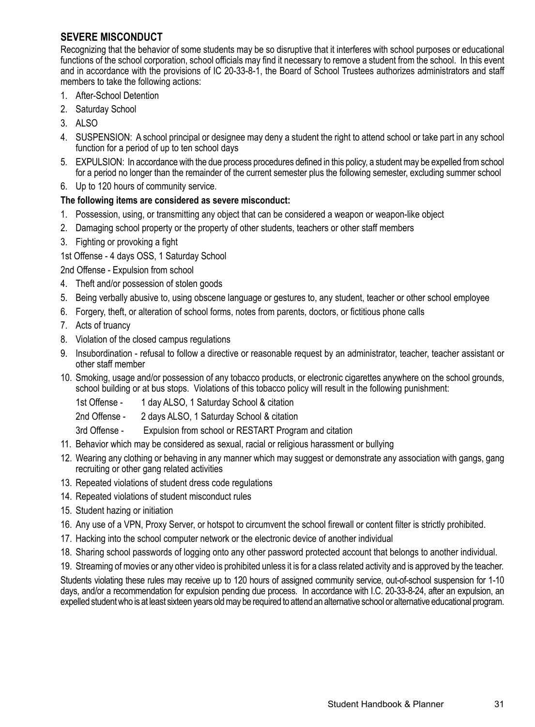## **SEVERE MISCONDUCT**

Recognizing that the behavior of some students may be so disruptive that it interferes with school purposes or educational functions of the school corporation, school officials may find it necessary to remove a student from the school. In this event and in accordance with the provisions of IC 20-33-8-1, the Board of School Trustees authorizes administrators and staff members to take the following actions:

- 1. After-School Detention
- 2. Saturday School
- 3. ALSO
- 4. SUSPENSION: A school principal or designee may deny a student the right to attend school or take part in any school function for a period of up to ten school days
- 5. EXPULSION: In accordance with the due process procedures defined in this policy, a student may be expelled from school for a period no longer than the remainder of the current semester plus the following semester, excluding summer school
- 6. Up to 120 hours of community service.

#### **The following items are considered as severe misconduct:**

- 1. Possession, using, or transmitting any object that can be considered a weapon or weapon-like object
- 2. Damaging school property or the property of other students, teachers or other staff members
- 3. Fighting or provoking a fight
- 1st Offense 4 days OSS, 1 Saturday School

2nd Offense - Expulsion from school

- 4. Theft and/or possession of stolen goods
- 5. Being verbally abusive to, using obscene language or gestures to, any student, teacher or other school employee
- 6. Forgery, theft, or alteration of school forms, notes from parents, doctors, or fictitious phone calls
- 7. Acts of truancy
- 8. Violation of the closed campus regulations
- 9. Insubordination refusal to follow a directive or reasonable request by an administrator, teacher, teacher assistant or other staff member
- 10. Smoking, usage and/or possession of any tobacco products, or electronic cigarettes anywhere on the school grounds, school building or at bus stops. Violations of this tobacco policy will result in the following punishment:
	- 1st Offense 1 day ALSO, 1 Saturday School & citation
	- 2nd Offense 2 days ALSO, 1 Saturday School & citation
	- 3rd Offense Expulsion from school or RESTART Program and citation
- 11. Behavior which may be considered as sexual, racial or religious harassment or bullying
- 12. Wearing any clothing or behaving in any manner which may suggest or demonstrate any association with gangs, gang recruiting or other gang related activities
- 13. Repeated violations of student dress code regulations
- 14. Repeated violations of student misconduct rules
- 15. Student hazing or initiation
- 16. Any use of a VPN, Proxy Server, or hotspot to circumvent the school firewall or content filter is strictly prohibited.
- 17. Hacking into the school computer network or the electronic device of another individual
- 18. Sharing school passwords of logging onto any other password protected account that belongs to another individual.
- 19. Streaming of movies or any other video is prohibited unless it is for a class related activity and is approved by the teacher.

Students violating these rules may receive up to 120 hours of assigned community service, out-of-school suspension for 1-10 days, and/or a recommendation for expulsion pending due process. In accordance with I.C. 20-33-8-24, after an expulsion, an expelled student who is at least sixteen years old may be required to attend an alternative school or alternative educational program.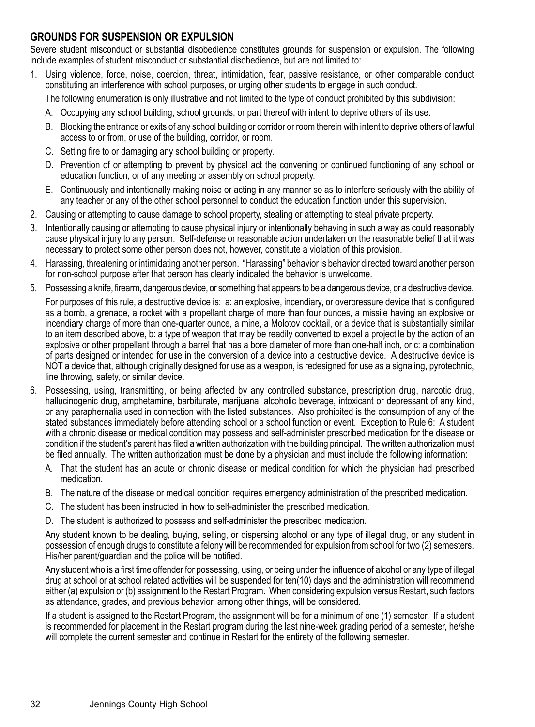#### **GROUNDS FOR SUSPENSION OR EXPULSION**

Severe student misconduct or substantial disobedience constitutes grounds for suspension or expulsion. The following include examples of student misconduct or substantial disobedience, but are not limited to:

1. Using violence, force, noise, coercion, threat, intimidation, fear, passive resistance, or other comparable conduct constituting an interference with school purposes, or urging other students to engage in such conduct.

The following enumeration is only illustrative and not limited to the type of conduct prohibited by this subdivision:

- A. Occupying any school building, school grounds, or part thereof with intent to deprive others of its use.
- B. Blocking the entrance or exits of any school building or corridor or room therein with intent to deprive others of lawful access to or from, or use of the building, corridor, or room.
- C. Setting fire to or damaging any school building or property.
- D. Prevention of or attempting to prevent by physical act the convening or continued functioning of any school or education function, or of any meeting or assembly on school property.
- E. Continuously and intentionally making noise or acting in any manner so as to interfere seriously with the ability of any teacher or any of the other school personnel to conduct the education function under this supervision.
- 2. Causing or attempting to cause damage to school property, stealing or attempting to steal private property.
- 3. Intentionally causing or attempting to cause physical injury or intentionally behaving in such a way as could reasonably cause physical injury to any person. Self-defense or reasonable action undertaken on the reasonable belief that it was necessary to protect some other person does not, however, constitute a violation of this provision.
- 4. Harassing, threatening or intimidating another person. "Harassing" behavior is behavior directed toward another person for non-school purpose after that person has clearly indicated the behavior is unwelcome.
- 5. Possessing a knife, firearm, dangerous device, or something that appears to be a dangerous device, or a destructive device.

For purposes of this rule, a destructive device is: a: an explosive, incendiary, or overpressure device that is configured as a bomb, a grenade, a rocket with a propellant charge of more than four ounces, a missile having an explosive or incendiary charge of more than one-quarter ounce, a mine, a Molotov cocktail, or a device that is substantially similar to an item described above, b: a type of weapon that may be readily converted to expel a projectile by the action of an explosive or other propellant through a barrel that has a bore diameter of more than one-half inch, or c: a combination of parts designed or intended for use in the conversion of a device into a destructive device. A destructive device is NOT a device that, although originally designed for use as a weapon, is redesigned for use as a signaling, pyrotechnic, line throwing, safety, or similar device.

- 6. Possessing, using, transmitting, or being affected by any controlled substance, prescription drug, narcotic drug, hallucinogenic drug, amphetamine, barbiturate, marijuana, alcoholic beverage, intoxicant or depressant of any kind, or any paraphernalia used in connection with the listed substances. Also prohibited is the consumption of any of the stated substances immediately before attending school or a school function or event. Exception to Rule 6: A student with a chronic disease or medical condition may possess and self-administer prescribed medication for the disease or condition if the student's parent has filed a written authorization with the building principal. The written authorization must be filed annually. The written authorization must be done by a physician and must include the following information:
	- A. That the student has an acute or chronic disease or medical condition for which the physician had prescribed medication.
	- B. The nature of the disease or medical condition requires emergency administration of the prescribed medication.
	- C. The student has been instructed in how to self-administer the prescribed medication.
	- D. The student is authorized to possess and self-administer the prescribed medication.

Any student known to be dealing, buying, selling, or dispersing alcohol or any type of illegal drug, or any student in possession of enough drugs to constitute a felony will be recommended for expulsion from school for two (2) semesters. His/her parent/guardian and the police will be notified.

Any student who is a first time offender for possessing, using, or being under the influence of alcohol or any type of illegal drug at school or at school related activities will be suspended for ten(10) days and the administration will recommend either (a) expulsion or (b) assignment to the Restart Program. When considering expulsion versus Restart, such factors as attendance, grades, and previous behavior, among other things, will be considered.

If a student is assigned to the Restart Program, the assignment will be for a minimum of one (1) semester. If a student is recommended for placement in the Restart program during the last nine-week grading period of a semester, he/she will complete the current semester and continue in Restart for the entirety of the following semester.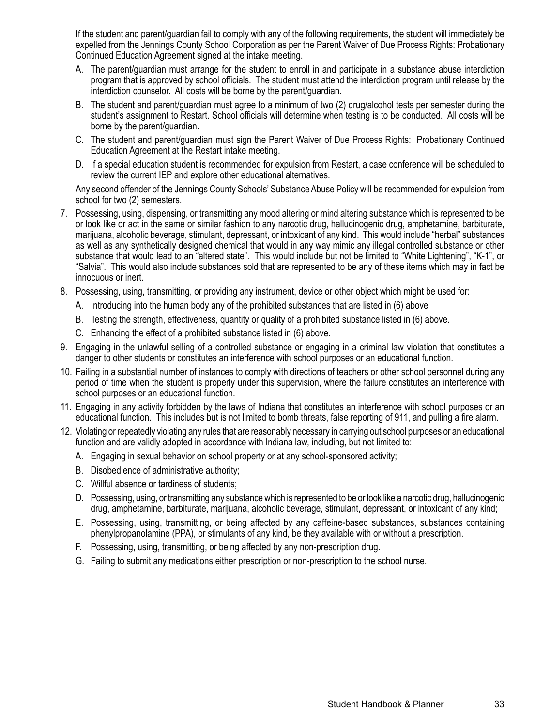If the student and parent/guardian fail to comply with any of the following requirements, the student will immediately be expelled from the Jennings County School Corporation as per the Parent Waiver of Due Process Rights: Probationary Continued Education Agreement signed at the intake meeting.

- A. The parent/guardian must arrange for the student to enroll in and participate in a substance abuse interdiction program that is approved by school officials. The student must attend the interdiction program until release by the interdiction counselor. All costs will be borne by the parent/guardian.
- B. The student and parent/guardian must agree to a minimum of two (2) drug/alcohol tests per semester during the student's assignment to Restart. School officials will determine when testing is to be conducted. All costs will be borne by the parent/guardian.
- C. The student and parent/guardian must sign the Parent Waiver of Due Process Rights: Probationary Continued Education Agreement at the Restart intake meeting.
- D. If a special education student is recommended for expulsion from Restart, a case conference will be scheduled to review the current IEP and explore other educational alternatives.

Any second offender of the Jennings County Schools' Substance Abuse Policy will be recommended for expulsion from school for two (2) semesters.

- 7. Possessing, using, dispensing, or transmitting any mood altering or mind altering substance which is represented to be or look like or act in the same or similar fashion to any narcotic drug, hallucinogenic drug, amphetamine, barbiturate, marijuana, alcoholic beverage, stimulant, depressant, or intoxicant of any kind. This would include "herbal" substances as well as any synthetically designed chemical that would in any way mimic any illegal controlled substance or other substance that would lead to an "altered state". This would include but not be limited to "White Lightening", "K-1", or "Salvia". This would also include substances sold that are represented to be any of these items which may in fact be innocuous or inert.
- 8. Possessing, using, transmitting, or providing any instrument, device or other object which might be used for:
	- A. Introducing into the human body any of the prohibited substances that are listed in (6) above
	- B. Testing the strength, effectiveness, quantity or quality of a prohibited substance listed in (6) above.
	- C. Enhancing the effect of a prohibited substance listed in (6) above.
- 9. Engaging in the unlawful selling of a controlled substance or engaging in a criminal law violation that constitutes a danger to other students or constitutes an interference with school purposes or an educational function.
- 10. Failing in a substantial number of instances to comply with directions of teachers or other school personnel during any period of time when the student is properly under this supervision, where the failure constitutes an interference with school purposes or an educational function.
- 11. Engaging in any activity forbidden by the laws of Indiana that constitutes an interference with school purposes or an educational function. This includes but is not limited to bomb threats, false reporting of 911, and pulling a fire alarm.
- 12. Violating or repeatedly violating any rules that are reasonably necessary in carrying out school purposes or an educational function and are validly adopted in accordance with Indiana law, including, but not limited to:
	- A. Engaging in sexual behavior on school property or at any school-sponsored activity;
	- B. Disobedience of administrative authority;
	- C. Willful absence or tardiness of students;
	- D. Possessing, using, or transmitting any substance which is represented to be or look like a narcotic drug, hallucinogenic drug, amphetamine, barbiturate, marijuana, alcoholic beverage, stimulant, depressant, or intoxicant of any kind;
	- E. Possessing, using, transmitting, or being affected by any caffeine-based substances, substances containing phenylpropanolamine (PPA), or stimulants of any kind, be they available with or without a prescription.
	- F. Possessing, using, transmitting, or being affected by any non-prescription drug.
	- G. Failing to submit any medications either prescription or non-prescription to the school nurse.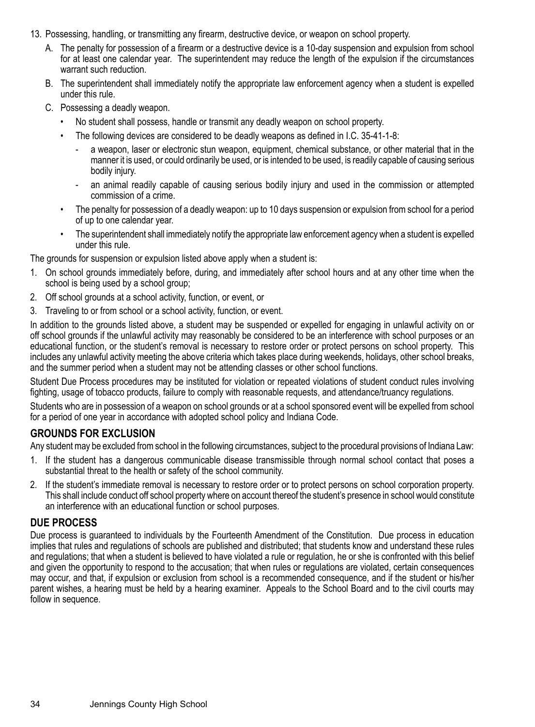- 13. Possessing, handling, or transmitting any firearm, destructive device, or weapon on school property.
	- A. The penalty for possession of a firearm or a destructive device is a 10-day suspension and expulsion from school for at least one calendar year. The superintendent may reduce the length of the expulsion if the circumstances warrant such reduction.
	- B. The superintendent shall immediately notify the appropriate law enforcement agency when a student is expelled under this rule.
	- C. Possessing a deadly weapon.
		- No student shall possess, handle or transmit any deadly weapon on school property.
		- The following devices are considered to be deadly weapons as defined in I.C. 35-41-1-8:
			- a weapon, laser or electronic stun weapon, equipment, chemical substance, or other material that in the manner it is used, or could ordinarily be used, or is intended to be used, is readily capable of causing serious bodily injury.
			- an animal readily capable of causing serious bodily injury and used in the commission or attempted commission of a crime.
		- The penalty for possession of a deadly weapon: up to 10 days suspension or expulsion from school for a period of up to one calendar year.
		- The superintendent shall immediately notify the appropriate law enforcement agency when a student is expelled under this rule.

The grounds for suspension or expulsion listed above apply when a student is:

- 1. On school grounds immediately before, during, and immediately after school hours and at any other time when the school is being used by a school group;
- 2. Off school grounds at a school activity, function, or event, or
- 3. Traveling to or from school or a school activity, function, or event.

In addition to the grounds listed above, a student may be suspended or expelled for engaging in unlawful activity on or off school grounds if the unlawful activity may reasonably be considered to be an interference with school purposes or an educational function, or the student's removal is necessary to restore order or protect persons on school property. This includes any unlawful activity meeting the above criteria which takes place during weekends, holidays, other school breaks, and the summer period when a student may not be attending classes or other school functions.

Student Due Process procedures may be instituted for violation or repeated violations of student conduct rules involving fighting, usage of tobacco products, failure to comply with reasonable requests, and attendance/truancy regulations.

Students who are in possession of a weapon on school grounds or at a school sponsored event will be expelled from school for a period of one year in accordance with adopted school policy and Indiana Code.

#### **GROUNDS FOR EXCLUSION**

Any student may be excluded from school in the following circumstances, subject to the procedural provisions of Indiana Law:

- 1. If the student has a dangerous communicable disease transmissible through normal school contact that poses a substantial threat to the health or safety of the school community.
- 2. If the student's immediate removal is necessary to restore order or to protect persons on school corporation property. This shall include conduct off school property where on account thereof the student's presence in school would constitute an interference with an educational function or school purposes.

#### **DUE PROCESS**

Due process is guaranteed to individuals by the Fourteenth Amendment of the Constitution. Due process in education implies that rules and regulations of schools are published and distributed; that students know and understand these rules and regulations; that when a student is believed to have violated a rule or regulation, he or she is confronted with this belief and given the opportunity to respond to the accusation; that when rules or regulations are violated, certain consequences may occur, and that, if expulsion or exclusion from school is a recommended consequence, and if the student or his/her parent wishes, a hearing must be held by a hearing examiner. Appeals to the School Board and to the civil courts may follow in sequence.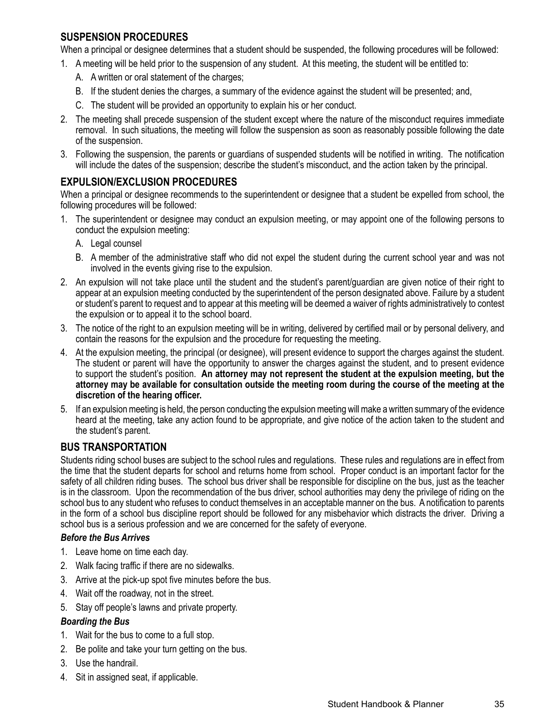#### **SUSPENSION PROCEDURES**

When a principal or designee determines that a student should be suspended, the following procedures will be followed:

- 1. A meeting will be held prior to the suspension of any student. At this meeting, the student will be entitled to:
	- A. A written or oral statement of the charges;
	- B. If the student denies the charges, a summary of the evidence against the student will be presented; and,
	- C. The student will be provided an opportunity to explain his or her conduct.
- 2. The meeting shall precede suspension of the student except where the nature of the misconduct requires immediate removal. In such situations, the meeting will follow the suspension as soon as reasonably possible following the date of the suspension.
- 3. Following the suspension, the parents or guardians of suspended students will be notified in writing. The notification will include the dates of the suspension; describe the student's misconduct, and the action taken by the principal.

#### **EXPULSION/EXCLUSION PROCEDURES**

When a principal or designee recommends to the superintendent or designee that a student be expelled from school, the following procedures will be followed:

- 1. The superintendent or designee may conduct an expulsion meeting, or may appoint one of the following persons to conduct the expulsion meeting:
	- A. Legal counsel
	- B. A member of the administrative staff who did not expel the student during the current school year and was not involved in the events giving rise to the expulsion.
- 2. An expulsion will not take place until the student and the student's parent/guardian are given notice of their right to appear at an expulsion meeting conducted by the superintendent of the person designated above. Failure by a student or student's parent to request and to appear at this meeting will be deemed a waiver of rights administratively to contest the expulsion or to appeal it to the school board.
- 3. The notice of the right to an expulsion meeting will be in writing, delivered by certified mail or by personal delivery, and contain the reasons for the expulsion and the procedure for requesting the meeting.
- 4. At the expulsion meeting, the principal (or designee), will present evidence to support the charges against the student. The student or parent will have the opportunity to answer the charges against the student, and to present evidence to support the student's position. **An attorney may not represent the student at the expulsion meeting, but the attorney may be available for consultation outside the meeting room during the course of the meeting at the discretion of the hearing officer.**
- 5. If an expulsion meeting is held, the person conducting the expulsion meeting will make a written summary of the evidence heard at the meeting, take any action found to be appropriate, and give notice of the action taken to the student and the student's parent.

#### **BUS TRANSPORTATION**

Students riding school buses are subject to the school rules and regulations. These rules and regulations are in effect from the time that the student departs for school and returns home from school. Proper conduct is an important factor for the safety of all children riding buses. The school bus driver shall be responsible for discipline on the bus, just as the teacher is in the classroom. Upon the recommendation of the bus driver, school authorities may deny the privilege of riding on the school bus to any student who refuses to conduct themselves in an acceptable manner on the bus. A notification to parents in the form of a school bus discipline report should be followed for any misbehavior which distracts the driver. Driving a school bus is a serious profession and we are concerned for the safety of everyone.

#### *Before the Bus Arrives*

- 1. Leave home on time each day.
- 2. Walk facing traffic if there are no sidewalks.
- 3. Arrive at the pick-up spot five minutes before the bus.
- 4. Wait off the roadway, not in the street.
- 5. Stay off people's lawns and private property.

#### *Boarding the Bus*

- 1. Wait for the bus to come to a full stop.
- 2. Be polite and take your turn getting on the bus.
- 3. Use the handrail.
- 4. Sit in assigned seat, if applicable.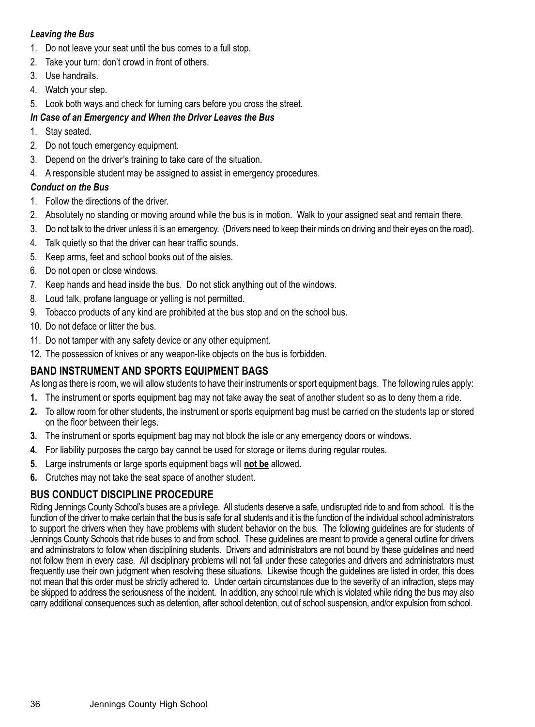#### *Leaving the Bus*

- 1. Do not leave your seat until the bus comes to a full stop.
- 2. Take your turn; don't crowd in front of others.
- 3. Use handrails.
- 4. Watch your step.
- 5. Look both ways and check for turning cars before you cross the street.

# *In Case of an Emergency and When the Driver Leaves the Bus*

- 1. Stay seated.
- 2. Do not touch emergency equipment.
- 3. Depend on the driver's training to take care of the situation.
- 4. A responsible student may be assigned to assist in emergency procedures.

# *Conduct on the Bus*

- 1. Follow the directions of the driver.
- 2. Absolutely no standing or moving around while the bus is in motion. Walk to your assigned seat and remain there.
- 3. Do not talk to the driver unless it is an emergency. (Drivers need to keep their minds on driving and their eyes on the road).
- 4. Talk quietly so that the driver can hear traffic sounds.
- 5. Keep arms, feet and school books out of the aisles.
- 6. Do not open or close windows.
- 7. Keep hands and head inside the bus. Do not stick anything out of the windows.
- 8. Loud talk, profane language or yelling is not permitted.
- 9. Tobacco products of any kind are prohibited at the bus stop and on the school bus.
- 10. Do not deface or litter the bus.
- 11. Do not tamper with any safety device or any other equipment.
- 12. The possession of knives or any weapon-like objects on the bus is forbidden.

# **BAND INSTRUMENT AND SPORTS EQUIPMENT BAGS**

As long as there is room, we will allow students to have their instruments or sport equipment bags. The following rules apply:

- **1.** The instrument or sports equipment bag may not take away the seat of another student so as to deny them a ride.
- **2.** To allow room for other students, the instrument or sports equipment bag must be carried on the students lap or stored on the floor between their legs.
- **3.** The instrument or sports equipment bag may not block the isle or any emergency doors or windows.
- **4.** For liability purposes the cargo bay cannot be used for storage or items during regular routes.
- **5.** Large instruments or large sports equipment bags will **not be** allowed.
- **6.** Crutches may not take the seat space of another student.

# **BUS CONDUCT DISCIPLINE PROCEDURE**

Riding Jennings County School's buses are a privilege. All students deserve a safe, undisrupted ride to and from school. It is the function of the driver to make certain that the bus is safe for all students and it is the function of the individual school administrators to support the drivers when they have problems with student behavior on the bus. The following guidelines are for students of Jennings County Schools that ride buses to and from school. These guidelines are meant to provide a general outline for drivers and administrators to follow when disciplining students. Drivers and administrators are not bound by these guidelines and need not follow them in every case. All disciplinary problems will not fall under these categories and drivers and administrators must frequently use their own judgment when resolving these situations. Likewise though the guidelines are listed in order, this does not mean that this order must be strictly adhered to. Under certain circumstances due to the severity of an infraction, steps may be skipped to address the seriousness of the incident. In addition, any school rule which is violated while riding the bus may also carry additional consequences such as detention, after school detention, out of school suspension, and/or expulsion from school.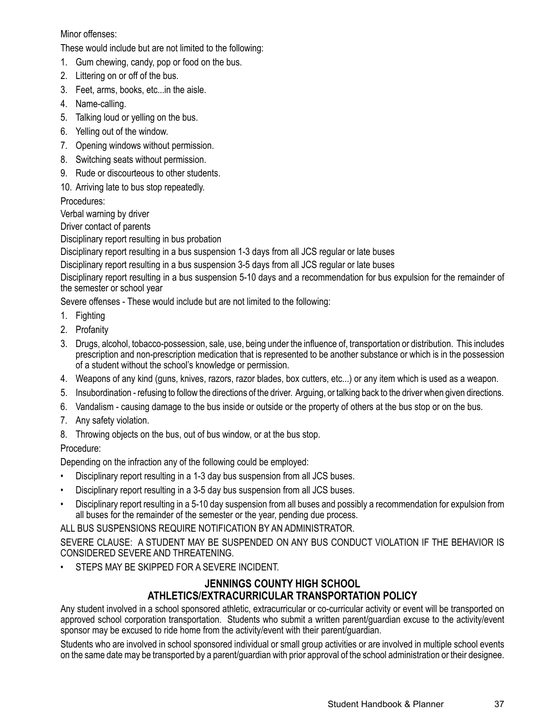#### Minor offenses:

These would include but are not limited to the following:

- 1. Gum chewing, candy, pop or food on the bus.
- 2. Littering on or off of the bus.
- 3. Feet, arms, books, etc...in the aisle.
- 4. Name-calling.
- 5. Talking loud or yelling on the bus.
- 6. Yelling out of the window.
- 7. Opening windows without permission.
- 8. Switching seats without permission.
- 9. Rude or discourteous to other students.
- 10. Arriving late to bus stop repeatedly.

Procedures:

Verbal warning by driver

Driver contact of parents

Disciplinary report resulting in bus probation

Disciplinary report resulting in a bus suspension 1-3 days from all JCS regular or late buses

Disciplinary report resulting in a bus suspension 3-5 days from all JCS regular or late buses

Disciplinary report resulting in a bus suspension 5-10 days and a recommendation for bus expulsion for the remainder of the semester or school year

Severe offenses - These would include but are not limited to the following:

- 1. Fighting
- 2. Profanity
- 3. Drugs, alcohol, tobacco-possession, sale, use, being under the influence of, transportation or distribution. This includes prescription and non-prescription medication that is represented to be another substance or which is in the possession of a student without the school's knowledge or permission.
- 4. Weapons of any kind (guns, knives, razors, razor blades, box cutters, etc...) or any item which is used as a weapon.
- 5. Insubordination refusing to follow the directions of the driver. Arguing, or talking back to the driver when given directions.
- 6. Vandalism causing damage to the bus inside or outside or the property of others at the bus stop or on the bus.
- 7. Any safety violation.
- 8. Throwing objects on the bus, out of bus window, or at the bus stop.

Procedure:

Depending on the infraction any of the following could be employed:

- Disciplinary report resulting in a 1-3 day bus suspension from all JCS buses.
- Disciplinary report resulting in a 3-5 day bus suspension from all JCS buses.
- Disciplinary report resulting in a 5-10 day suspension from all buses and possibly a recommendation for expulsion from all buses for the remainder of the semester or the year, pending due process.

ALL BUS SUSPENSIONS REQUIRE NOTIFICATION BY AN ADMINISTRATOR.

SEVERE CLAUSE: A STUDENT MAY BE SUSPENDED ON ANY BUS CONDUCT VIOLATION IF THE BEHAVIOR IS CONSIDERED SEVERE AND THREATENING.

STEPS MAY BE SKIPPED FOR A SEVERE INCIDENT.

## **JENNINGS COUNTY HIGH SCHOOL ATHLETICS/EXTRACURRICULAR TRANSPORTATION POLICY**

Any student involved in a school sponsored athletic, extracurricular or co-curricular activity or event will be transported on approved school corporation transportation. Students who submit a written parent/guardian excuse to the activity/event sponsor may be excused to ride home from the activity/event with their parent/guardian.

Students who are involved in school sponsored individual or small group activities or are involved in multiple school events on the same date may be transported by a parent/guardian with prior approval of the school administration or their designee.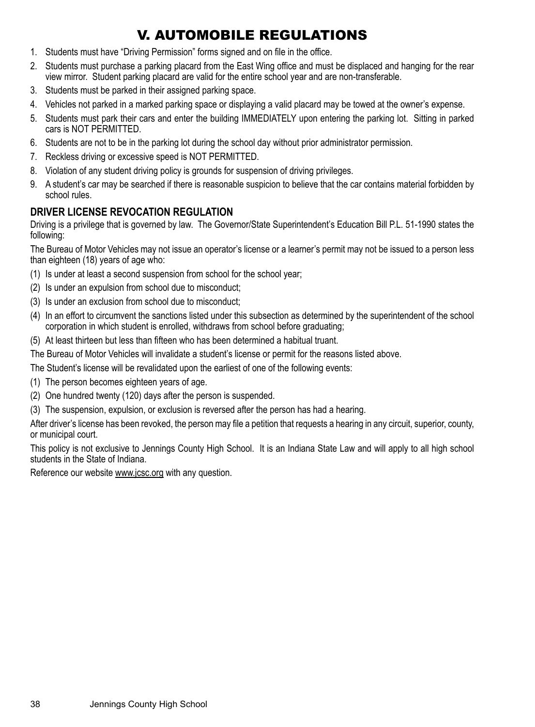# V. AUTOMOBILE REGULATIONS

- 1. Students must have "Driving Permission" forms signed and on file in the office.
- 2. Students must purchase a parking placard from the East Wing office and must be displaced and hanging for the rear view mirror. Student parking placard are valid for the entire school year and are non-transferable.
- 3. Students must be parked in their assigned parking space.
- 4. Vehicles not parked in a marked parking space or displaying a valid placard may be towed at the owner's expense.
- 5. Students must park their cars and enter the building IMMEDIATELY upon entering the parking lot. Sitting in parked cars is NOT PERMITTED.
- 6. Students are not to be in the parking lot during the school day without prior administrator permission.
- 7. Reckless driving or excessive speed is NOT PERMITTED.
- 8. Violation of any student driving policy is grounds for suspension of driving privileges.
- 9. A student's car may be searched if there is reasonable suspicion to believe that the car contains material forbidden by school rules.

#### **DRIVER LICENSE REVOCATION REGULATION**

Driving is a privilege that is governed by law. The Governor/State Superintendent's Education Bill P.L. 51-1990 states the following:

The Bureau of Motor Vehicles may not issue an operator's license or a learner's permit may not be issued to a person less than eighteen (18) years of age who:

- (1) Is under at least a second suspension from school for the school year;
- (2) Is under an expulsion from school due to misconduct;
- (3) Is under an exclusion from school due to misconduct;
- (4) In an effort to circumvent the sanctions listed under this subsection as determined by the superintendent of the school corporation in which student is enrolled, withdraws from school before graduating;
- (5) At least thirteen but less than fifteen who has been determined a habitual truant.

The Bureau of Motor Vehicles will invalidate a student's license or permit for the reasons listed above.

The Student's license will be revalidated upon the earliest of one of the following events:

- (1) The person becomes eighteen years of age.
- (2) One hundred twenty (120) days after the person is suspended.
- (3) The suspension, expulsion, or exclusion is reversed after the person has had a hearing.

After driver's license has been revoked, the person may file a petition that requests a hearing in any circuit, superior, county, or municipal court.

This policy is not exclusive to Jennings County High School. It is an Indiana State Law and will apply to all high school students in the State of Indiana.

Reference our website www.jcsc.org with any question.